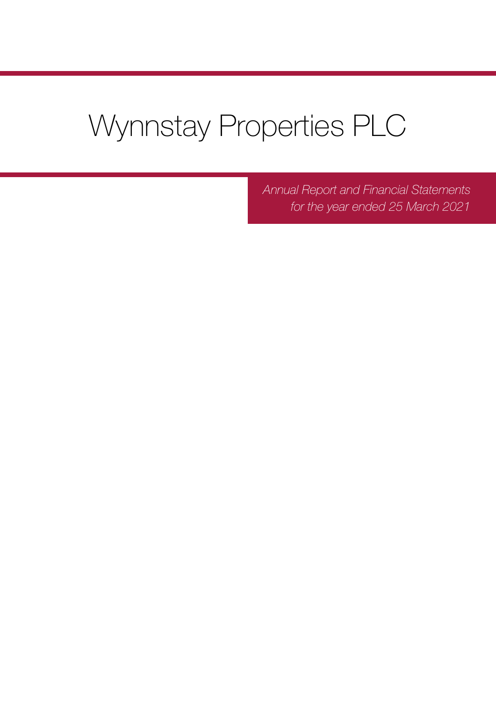# Wynnstay Properties PLC

*Annual Report and Financial Statements for the year ended 25 March 2021*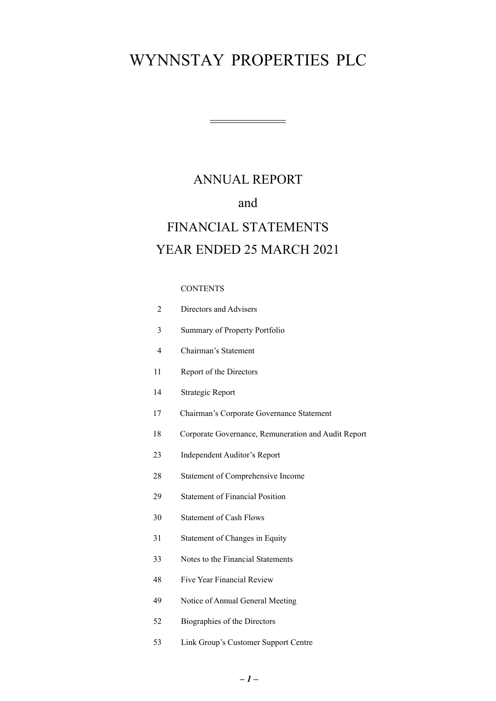## ANNUAL REPORT FINANCIAL STATEMENTS YEAR ENDED 25 MARCH 2021 and

### CONTENTS

| $\overline{2}$ | Directors and Advisers                              |
|----------------|-----------------------------------------------------|
| $\overline{3}$ | Summary of Property Portfolio                       |
| $\overline{4}$ | Chairman's Statement                                |
| 11             | Report of the Directors                             |
| 14             | <b>Strategic Report</b>                             |
| 17             | Chairman's Corporate Governance Statement           |
| 18             | Corporate Governance, Remuneration and Audit Report |
| 23             | <b>Independent Auditor's Report</b>                 |
| 28             | Statement of Comprehensive Income                   |
| 29             | <b>Statement of Financial Position</b>              |
| 30             | <b>Statement of Cash Flows</b>                      |
| 31             | Statement of Changes in Equity                      |
| 33             | Notes to the Financial Statements                   |
| 48             | Five Year Financial Review                          |
| 49             | Notice of Annual General Meeting                    |
| 52             | Biographies of the Directors                        |
|                |                                                     |

53 [Link Group's Customer Support Centre](#page-53-0)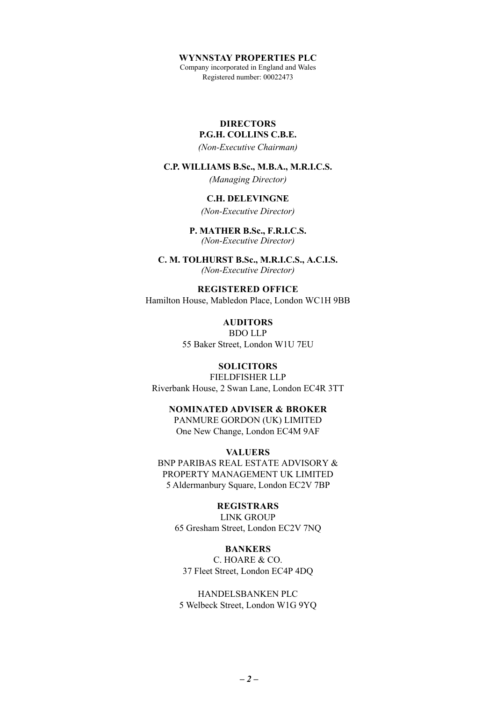<span id="page-2-0"></span>Company incorporated in England and Wales Registered number: 00022473

## **DIRECTORS**

## **P.G.H. COLLINS C.B.E.**

*(Non-Executive Chairman)*

#### **C.P. WILLIAMS B.Sc., M.B.A., M.R.I.C.S.**

*(Managing Director)*

### **C.H. DELEVINGNE**

*(Non-Executive Director)*

#### **P. MATHER B.Sc., F.R.I.C.S.** *(Non-Executive Director)*

**C. M. TOLHURST B.Sc., M.R.I.C.S., A.C.I.S.**  *(Non-Executive Director)*

#### **REGISTERED OFFICE**

Hamilton House, Mabledon Place, London WC1H 9BB

**AUDITORS** BDO LLP 55 Baker Street, London W1U 7EU

## **SOLICITORS**

FIELDFISHER LLP Riverbank House, 2 Swan Lane, London EC4R 3TT

## **NOMINATED ADVISER & BROKER** PANMURE GORDON (UK) LIMITED

One New Change, London EC4M 9AF

## **VALUERS**

BNP PARIBAS REAL ESTATE ADVISORY & PROPERTY MANAGEMENT UK LIMITED 5 Aldermanbury Square, London EC2V 7BP

## **REGISTRARS**

LINK GROUP 65 Gresham Street, London EC2V 7NQ

#### **BANKERS**

C. HOARE & CO. 37 Fleet Street, London EC4P 4DQ

HANDELSBANKEN PLC 5 Welbeck Street, London W1G 9YQ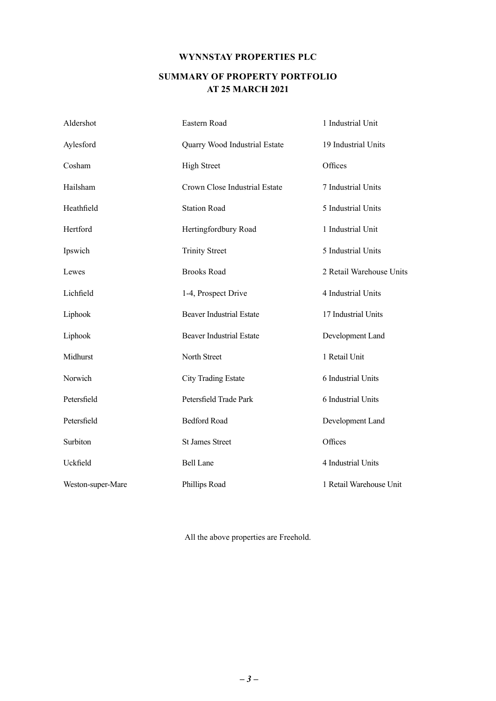## **SUMMARY OF PROPERTY PORTFOLIO AT 25 MARCH 2021**

<span id="page-3-0"></span>

| Aldershot         | Eastern Road                    | 1 Industrial Unit        |
|-------------------|---------------------------------|--------------------------|
| Aylesford         | Quarry Wood Industrial Estate   | 19 Industrial Units      |
| Cosham            | <b>High Street</b>              | Offices                  |
| Hailsham          | Crown Close Industrial Estate   | 7 Industrial Units       |
| Heathfield        | <b>Station Road</b>             | 5 Industrial Units       |
| Hertford          | Hertingfordbury Road            | 1 Industrial Unit        |
| Ipswich           | <b>Trinity Street</b>           | 5 Industrial Units       |
| Lewes             | <b>Brooks Road</b>              | 2 Retail Warehouse Units |
| Lichfield         | 1-4, Prospect Drive             | 4 Industrial Units       |
| Liphook           | <b>Beaver Industrial Estate</b> | 17 Industrial Units      |
| Liphook           | <b>Beaver Industrial Estate</b> | Development Land         |
| Midhurst          | North Street                    | 1 Retail Unit            |
| Norwich           | <b>City Trading Estate</b>      | 6 Industrial Units       |
| Petersfield       | Petersfield Trade Park          | 6 Industrial Units       |
| Petersfield       | <b>Bedford Road</b>             | Development Land         |
| Surbiton          | <b>St James Street</b>          | Offices                  |
| Uckfield          | <b>Bell Lane</b>                | 4 Industrial Units       |
| Weston-super-Mare | Phillips Road                   | 1 Retail Warehouse Unit  |

All the above properties are Freehold.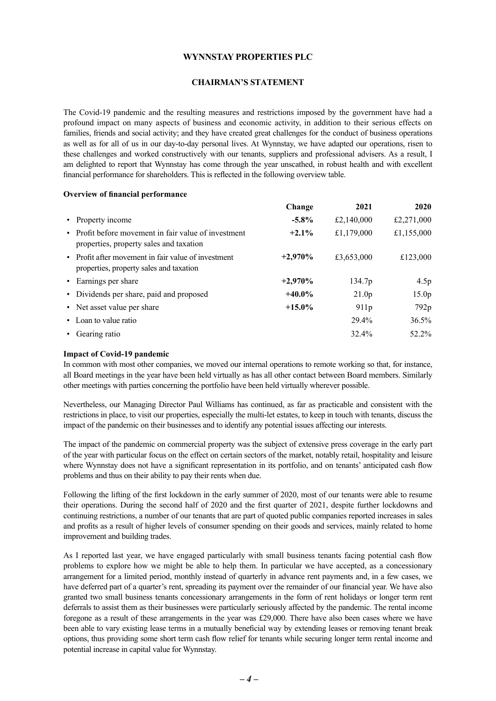#### **CHAIRMAN'S STATEMENT**

<span id="page-4-0"></span>The Covid-19 pandemic and the resulting measures and restrictions imposed by the government have had a profound impact on many aspects of business and economic activity, in addition to their serious effects on families, friends and social activity; and they have created great challenges for the conduct of business operations as well as for all of us in our day-to-day personal lives. At Wynnstay, we have adapted our operations, risen to these challenges and worked constructively with our tenants, suppliers and professional advisers. As a result, I am delighted to report that Wynnstay has come through the year unscathed, in robust health and with excellent financial performance for shareholders. This is reflected in the following overview table.

#### **Overview of financial performance**

|                                                                                                 | Change    | 2021               | 2020              |
|-------------------------------------------------------------------------------------------------|-----------|--------------------|-------------------|
| • Property income                                                                               | $-5.8\%$  | £2,140,000         | £2,271,000        |
| • Profit before movement in fair value of investment<br>properties, property sales and taxation | $+2.1\%$  | £1,179,000         | £1,155,000        |
| • Profit after movement in fair value of investment<br>properties, property sales and taxation  | $+2,970%$ | £3,653,000         | £123,000          |
| • Earnings per share                                                                            | $+2,970%$ | 134.7 <sub>p</sub> | 4.5p              |
| • Dividends per share, paid and proposed                                                        | $+40.0\%$ | 21.0 <sub>p</sub>  | 15.0 <sub>p</sub> |
| • Net asset value per share                                                                     | $+15.0\%$ | 911p               | 792p              |
| • Loan to value ratio                                                                           |           | 29.4%              | 36.5%             |
| Gearing ratio                                                                                   |           | 32.4%              | $52.2\%$          |

#### **Impact of Covid-19 pandemic**

In common with most other companies, we moved our internal operations to remote working so that, for instance, all Board meetings in the year have been held virtually as has all other contact between Board members. Similarly other meetings with parties concerning the portfolio have been held virtually wherever possible.

Nevertheless, our Managing Director Paul Williams has continued, as far as practicable and consistent with the restrictions in place, to visit our properties, especially the multi-let estates, to keep in touch with tenants, discuss the impact of the pandemic on their businesses and to identify any potential issues affecting our interests.

The impact of the pandemic on commercial property was the subject of extensive press coverage in the early part of the year with particular focus on the effect on certain sectors of the market, notably retail, hospitality and leisure where Wynnstay does not have a significant representation in its portfolio, and on tenants' anticipated cash flow problems and thus on their ability to pay their rents when due.

Following the lifting of the first lockdown in the early summer of 2020, most of our tenants were able to resume their operations. During the second half of 2020 and the first quarter of 2021, despite further lockdowns and continuing restrictions, a number of our tenants that are part of quoted public companies reported increases in sales and profits as a result of higher levels of consumer spending on their goods and services, mainly related to home improvement and building trades.

As I reported last year, we have engaged particularly with small business tenants facing potential cash flow problems to explore how we might be able to help them. In particular we have accepted, as a concessionary arrangement for a limited period, monthly instead of quarterly in advance rent payments and, in a few cases, we have deferred part of a quarter's rent, spreading its payment over the remainder of our financial year. We have also granted two small business tenants concessionary arrangements in the form of rent holidays or longer term rent deferrals to assist them as their businesses were particularly seriously affected by the pandemic. The rental income foregone as a result of these arrangements in the year was £29,000. There have also been cases where we have been able to vary existing lease terms in a mutually beneficial way by extending leases or removing tenant break options, thus providing some short term cash flow relief for tenants while securing longer term rental income and potential increase in capital value for Wynnstay.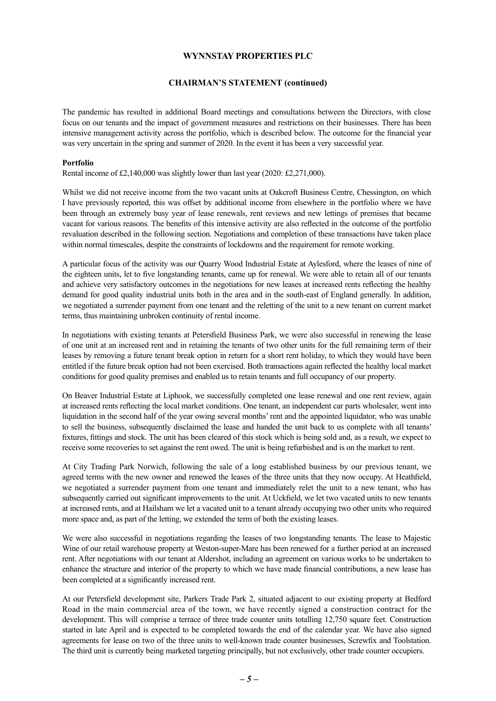#### **CHAIRMAN'S STATEMENT (continued)**

The pandemic has resulted in additional Board meetings and consultations between the Directors, with close focus on our tenants and the impact of government measures and restrictions on their businesses. There has been intensive management activity across the portfolio, which is described below. The outcome for the financial year was very uncertain in the spring and summer of 2020. In the event it has been a very successful year.

#### **Portfolio**

Rental income of £2,140,000 was slightly lower than last year (2020: £2,271,000).

Whilst we did not receive income from the two vacant units at Oakcroft Business Centre, Chessington, on which I have previously reported, this was offset by additional income from elsewhere in the portfolio where we have been through an extremely busy year of lease renewals, rent reviews and new lettings of premises that became vacant for various reasons. The benefits of this intensive activity are also reflected in the outcome of the portfolio revaluation described in the following section. Negotiations and completion of these transactions have taken place within normal timescales, despite the constraints of lockdowns and the requirement for remote working.

A particular focus of the activity was our Quarry Wood Industrial Estate at Aylesford, where the leases of nine of the eighteen units, let to five longstanding tenants, came up for renewal. We were able to retain all of our tenants and achieve very satisfactory outcomes in the negotiations for new leases at increased rents reflecting the healthy demand for good quality industrial units both in the area and in the south-east of England generally. In addition, we negotiated a surrender payment from one tenant and the reletting of the unit to a new tenant on current market terms, thus maintaining unbroken continuity of rental income.

In negotiations with existing tenants at Petersfield Business Park, we were also successful in renewing the lease of one unit at an increased rent and in retaining the tenants of two other units for the full remaining term of their leases by removing a future tenant break option in return for a short rent holiday, to which they would have been entitled if the future break option had not been exercised. Both transactions again reflected the healthy local market conditions for good quality premises and enabled us to retain tenants and full occupancy of our property.

On Beaver Industrial Estate at Liphook, we successfully completed one lease renewal and one rent review, again at increased rents reflecting the local market conditions. One tenant, an independent car parts wholesaler, went into liquidation in the second half of the year owing several months' rent and the appointed liquidator, who was unable to sell the business, subsequently disclaimed the lease and handed the unit back to us complete with all tenants' fixtures, fittings and stock. The unit has been cleared of this stock which is being sold and, as a result, we expect to receive some recoveries to set against the rent owed. The unit is being refurbished and is on the market to rent.

At City Trading Park Norwich, following the sale of a long established business by our previous tenant, we agreed terms with the new owner and renewed the leases of the three units that they now occupy. At Heathfield, we negotiated a surrender payment from one tenant and immediately relet the unit to a new tenant, who has subsequently carried out significant improvements to the unit. At Uckfield, we let two vacated units to new tenants at increased rents, and at Hailsham we let a vacated unit to a tenant already occupying two other units who required more space and, as part of the letting, we extended the term of both the existing leases.

We were also successful in negotiations regarding the leases of two longstanding tenants. The lease to Majestic Wine of our retail warehouse property at Weston-super-Mare has been renewed for a further period at an increased rent. After negotiations with our tenant at Aldershot, including an agreement on various works to be undertaken to enhance the structure and interior of the property to which we have made financial contributions, a new lease has been completed at a significantly increased rent.

At our Petersfield development site, Parkers Trade Park 2, situated adjacent to our existing property at Bedford Road in the main commercial area of the town, we have recently signed a construction contract for the development. This will comprise a terrace of three trade counter units totalling 12,750 square feet. Construction started in late April and is expected to be completed towards the end of the calendar year. We have also signed agreements for lease on two of the three units to well-known trade counter businesses, Screwfix and Toolstation. The third unit is currently being marketed targeting principally, but not exclusively, other trade counter occupiers.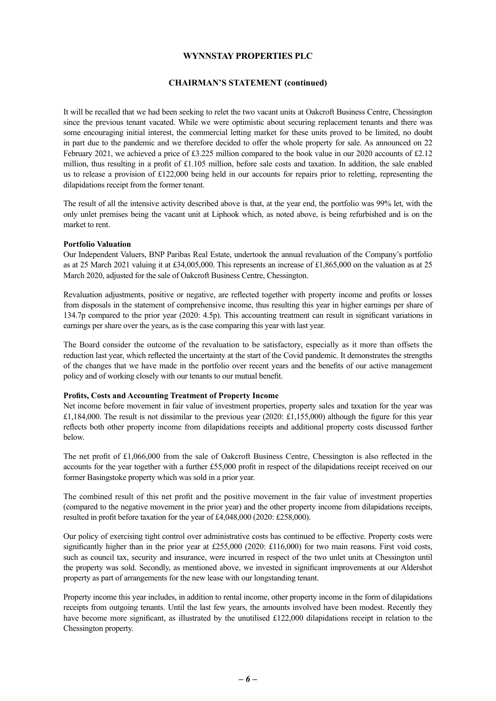#### **CHAIRMAN'S STATEMENT (continued)**

It will be recalled that we had been seeking to relet the two vacant units at Oakcroft Business Centre, Chessington since the previous tenant vacated. While we were optimistic about securing replacement tenants and there was some encouraging initial interest, the commercial letting market for these units proved to be limited, no doubt in part due to the pandemic and we therefore decided to offer the whole property for sale. As announced on 22 February 2021, we achieved a price of £3.225 million compared to the book value in our 2020 accounts of £2.12 million, thus resulting in a profit of £1.105 million, before sale costs and taxation. In addition, the sale enabled us to release a provision of £122,000 being held in our accounts for repairs prior to reletting, representing the dilapidations receipt from the former tenant.

The result of all the intensive activity described above is that, at the year end, the portfolio was 99% let, with the only unlet premises being the vacant unit at Liphook which, as noted above, is being refurbished and is on the market to rent.

#### **Portfolio Valuation**

Our Independent Valuers, BNP Paribas Real Estate, undertook the annual revaluation of the Company's portfolio as at 25 March 2021 valuing it at £34,005,000. This represents an increase of £1,865,000 on the valuation as at 25 March 2020, adjusted for the sale of Oakcroft Business Centre, Chessington.

Revaluation adjustments, positive or negative, are reflected together with property income and profits or losses from disposals in the statement of comprehensive income, thus resulting this year in higher earnings per share of 134.7p compared to the prior year (2020: 4.5p). This accounting treatment can result in significant variations in earnings per share over the years, as is the case comparing this year with last year.

The Board consider the outcome of the revaluation to be satisfactory, especially as it more than offsets the reduction last year, which reflected the uncertainty at the start of the Covid pandemic. It demonstrates the strengths of the changes that we have made in the portfolio over recent years and the benefits of our active management policy and of working closely with our tenants to our mutual benefit.

#### **Profits, Costs and Accounting Treatment of Property Income**

Net income before movement in fair value of investment properties, property sales and taxation for the year was £1,184,000. The result is not dissimilar to the previous year (2020: £1,155,000) although the figure for this year reflects both other property income from dilapidations receipts and additional property costs discussed further below.

The net profit of £1,066,000 from the sale of Oakcroft Business Centre, Chessington is also reflected in the accounts for the year together with a further £55,000 profit in respect of the dilapidations receipt received on our former Basingstoke property which was sold in a prior year.

The combined result of this net profit and the positive movement in the fair value of investment properties (compared to the negative movement in the prior year) and the other property income from dilapidations receipts, resulted in profit before taxation for the year of £4,048,000 (2020: £258,000).

Our policy of exercising tight control over administrative costs has continued to be effective. Property costs were significantly higher than in the prior year at £255,000 (2020: £116,000) for two main reasons. First void costs, such as council tax, security and insurance, were incurred in respect of the two unlet units at Chessington until the property was sold. Secondly, as mentioned above, we invested in significant improvements at our Aldershot property as part of arrangements for the new lease with our longstanding tenant.

Property income this year includes, in addition to rental income, other property income in the form of dilapidations receipts from outgoing tenants. Until the last few years, the amounts involved have been modest. Recently they have become more significant, as illustrated by the unutilised £122,000 dilapidations receipt in relation to the Chessington property.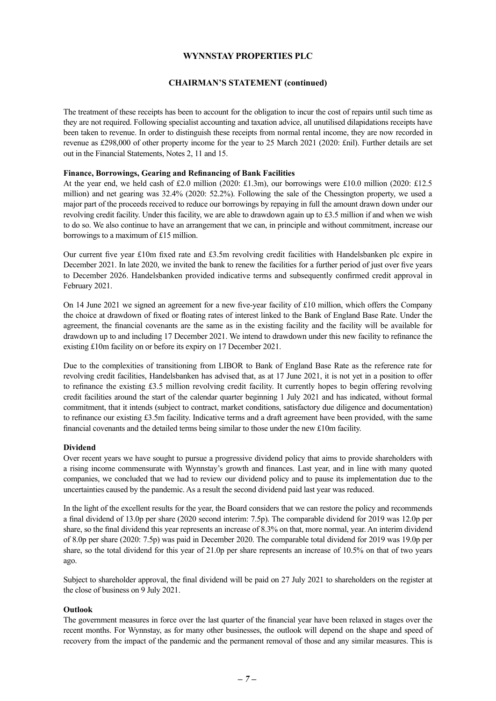#### **CHAIRMAN'S STATEMENT (continued)**

The treatment of these receipts has been to account for the obligation to incur the cost of repairs until such time as they are not required. Following specialist accounting and taxation advice, all unutilised dilapidations receipts have been taken to revenue. In order to distinguish these receipts from normal rental income, they are now recorded in revenue as £298,000 of other property income for the year to 25 March 2021 (2020: £nil). Further details are set out in the Financial Statements, Notes 2, 11 and 15.

#### **Finance, Borrowings, Gearing and Refinancing of Bank Facilities**

At the year end, we held cash of £2.0 million (2020: £1.3m), our borrowings were £10.0 million (2020: £12.5 million) and net gearing was 32.4% (2020: 52.2%). Following the sale of the Chessington property, we used a major part of the proceeds received to reduce our borrowings by repaying in full the amount drawn down under our revolving credit facility. Under this facility, we are able to drawdown again up to  $£3.5$  million if and when we wish to do so. We also continue to have an arrangement that we can, in principle and without commitment, increase our borrowings to a maximum of £15 million.

Our current five year £10m fixed rate and £3.5m revolving credit facilities with Handelsbanken plc expire in December 2021. In late 2020, we invited the bank to renew the facilities for a further period of just over five years to December 2026. Handelsbanken provided indicative terms and subsequently confirmed credit approval in February 2021.

On 14 June 2021 we signed an agreement for a new five-year facility of £10 million, which offers the Company the choice at drawdown of fixed or floating rates of interest linked to the Bank of England Base Rate. Under the agreement, the financial covenants are the same as in the existing facility and the facility will be available for drawdown up to and including 17 December 2021. We intend to drawdown under this new facility to refinance the existing £10m facility on or before its expiry on 17 December 2021.

Due to the complexities of transitioning from LIBOR to Bank of England Base Rate as the reference rate for revolving credit facilities, Handelsbanken has advised that, as at 17 June 2021, it is not yet in a position to offer to refinance the existing £3.5 million revolving credit facility. It currently hopes to begin offering revolving credit facilities around the start of the calendar quarter beginning 1 July 2021 and has indicated, without formal commitment, that it intends (subject to contract, market conditions, satisfactory due diligence and documentation) to refinance our existing £3.5m facility. Indicative terms and a draft agreement have been provided, with the same financial covenants and the detailed terms being similar to those under the new £10m facility.

#### **Dividend**

Over recent years we have sought to pursue a progressive dividend policy that aims to provide shareholders with a rising income commensurate with Wynnstay's growth and finances. Last year, and in line with many quoted companies, we concluded that we had to review our dividend policy and to pause its implementation due to the uncertainties caused by the pandemic. As a result the second dividend paid last year was reduced.

In the light of the excellent results for the year, the Board considers that we can restore the policy and recommends a final dividend of 13.0p per share (2020 second interim: 7.5p). The comparable dividend for 2019 was 12.0p per share, so the final dividend this year represents an increase of 8.3% on that, more normal, year. An interim dividend of 8.0p per share (2020: 7.5p) was paid in December 2020. The comparable total dividend for 2019 was 19.0p per share, so the total dividend for this year of 21.0p per share represents an increase of 10.5% on that of two years ago.

Subject to shareholder approval, the final dividend will be paid on 27 July 2021 to shareholders on the register at the close of business on 9 July 2021.

#### **Outlook**

The government measures in force over the last quarter of the financial year have been relaxed in stages over the recent months. For Wynnstay, as for many other businesses, the outlook will depend on the shape and speed of recovery from the impact of the pandemic and the permanent removal of those and any similar measures. This is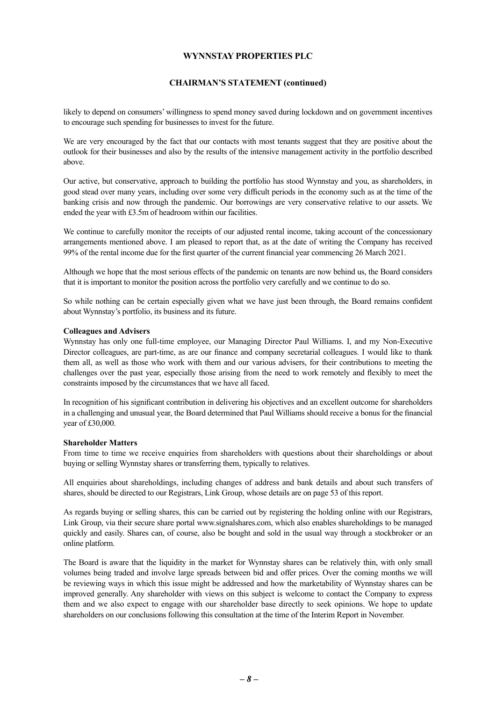#### **CHAIRMAN'S STATEMENT (continued)**

likely to depend on consumers' willingness to spend money saved during lockdown and on government incentives to encourage such spending for businesses to invest for the future.

We are very encouraged by the fact that our contacts with most tenants suggest that they are positive about the outlook for their businesses and also by the results of the intensive management activity in the portfolio described above.

Our active, but conservative, approach to building the portfolio has stood Wynnstay and you, as shareholders, in good stead over many years, including over some very difficult periods in the economy such as at the time of the banking crisis and now through the pandemic. Our borrowings are very conservative relative to our assets. We ended the year with £3.5m of headroom within our facilities.

We continue to carefully monitor the receipts of our adjusted rental income, taking account of the concessionary arrangements mentioned above. I am pleased to report that, as at the date of writing the Company has received 99% of the rental income due for the first quarter of the current financial year commencing 26 March 2021.

Although we hope that the most serious effects of the pandemic on tenants are now behind us, the Board considers that it is important to monitor the position across the portfolio very carefully and we continue to do so.

So while nothing can be certain especially given what we have just been through, the Board remains confident about Wynnstay's portfolio, its business and its future.

#### **Colleagues and Advisers**

Wynnstay has only one full-time employee, our Managing Director Paul Williams. I, and my Non-Executive Director colleagues, are part-time, as are our finance and company secretarial colleagues. I would like to thank them all, as well as those who work with them and our various advisers, for their contributions to meeting the challenges over the past year, especially those arising from the need to work remotely and flexibly to meet the constraints imposed by the circumstances that we have all faced.

In recognition of his significant contribution in delivering his objectives and an excellent outcome for shareholders in a challenging and unusual year, the Board determined that Paul Williams should receive a bonus for the financial year of £30,000.

#### **Shareholder Matters**

From time to time we receive enquiries from shareholders with questions about their shareholdings or about buying or selling Wynnstay shares or transferring them, typically to relatives.

All enquiries about shareholdings, including changes of address and bank details and about such transfers of shares, should be directed to our Registrars, Link Group, whose details are on page 53 of this report.

As regards buying or selling shares, this can be carried out by registering the holding online with our Registrars, Link Group, via their secure share portal www.signalshares.com, which also enables shareholdings to be managed quickly and easily. Shares can, of course, also be bought and sold in the usual way through a stockbroker or an online platform.

The Board is aware that the liquidity in the market for Wynnstay shares can be relatively thin, with only small volumes being traded and involve large spreads between bid and offer prices. Over the coming months we will be reviewing ways in which this issue might be addressed and how the marketability of Wynnstay shares can be improved generally. Any shareholder with views on this subject is welcome to contact the Company to express them and we also expect to engage with our shareholder base directly to seek opinions. We hope to update shareholders on our conclusions following this consultation at the time of the Interim Report in November.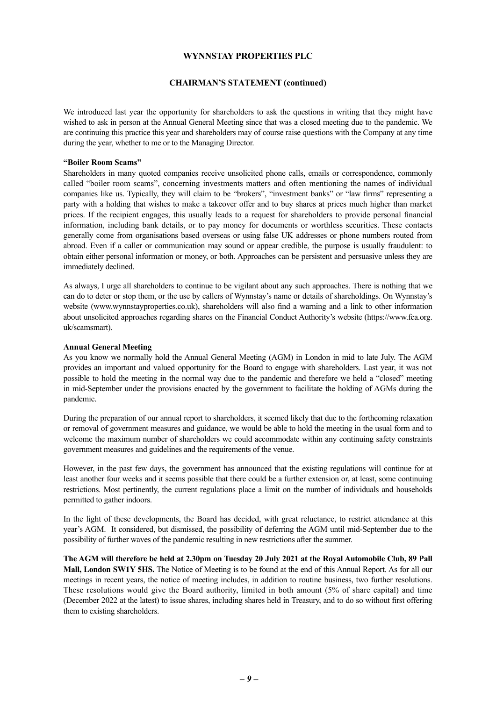#### **CHAIRMAN'S STATEMENT (continued)**

We introduced last year the opportunity for shareholders to ask the questions in writing that they might have wished to ask in person at the Annual General Meeting since that was a closed meeting due to the pandemic. We are continuing this practice this year and shareholders may of course raise questions with the Company at any time during the year, whether to me or to the Managing Director.

#### **"Boiler Room Scams"**

Shareholders in many quoted companies receive unsolicited phone calls, emails or correspondence, commonly called "boiler room scams", concerning investments matters and often mentioning the names of individual companies like us. Typically, they will claim to be "brokers", "investment banks" or "law firms" representing a party with a holding that wishes to make a takeover offer and to buy shares at prices much higher than market prices. If the recipient engages, this usually leads to a request for shareholders to provide personal financial information, including bank details, or to pay money for documents or worthless securities. These contacts generally come from organisations based overseas or using false UK addresses or phone numbers routed from abroad. Even if a caller or communication may sound or appear credible, the purpose is usually fraudulent: to obtain either personal information or money, or both. Approaches can be persistent and persuasive unless they are immediately declined.

As always, I urge all shareholders to continue to be vigilant about any such approaches. There is nothing that we can do to deter or stop them, or the use by callers of Wynnstay's name or details of shareholdings. On Wynnstay's website (www.wynnstayproperties.co.uk), shareholders will also find a warning and a link to other information about unsolicited approaches regarding shares on the Financial Conduct Authority's website (https://www.fca.org. uk/scamsmart).

#### **Annual General Meeting**

As you know we normally hold the Annual General Meeting (AGM) in London in mid to late July. The AGM provides an important and valued opportunity for the Board to engage with shareholders. Last year, it was not possible to hold the meeting in the normal way due to the pandemic and therefore we held a "closed" meeting in mid-September under the provisions enacted by the government to facilitate the holding of AGMs during the pandemic.

During the preparation of our annual report to shareholders, it seemed likely that due to the forthcoming relaxation or removal of government measures and guidance, we would be able to hold the meeting in the usual form and to welcome the maximum number of shareholders we could accommodate within any continuing safety constraints government measures and guidelines and the requirements of the venue.

However, in the past few days, the government has announced that the existing regulations will continue for at least another four weeks and it seems possible that there could be a further extension or, at least, some continuing restrictions. Most pertinently, the current regulations place a limit on the number of individuals and households permitted to gather indoors.

In the light of these developments, the Board has decided, with great reluctance, to restrict attendance at this year's AGM. It considered, but dismissed, the possibility of deferring the AGM until mid-September due to the possibility of further waves of the pandemic resulting in new restrictions after the summer.

**The AGM will therefore be held at 2.30pm on Tuesday 20 July 2021 at the Royal Automobile Club, 89 Pall Mall, London SW1Y 5HS.** The Notice of Meeting is to be found at the end of this Annual Report. As for all our meetings in recent years, the notice of meeting includes, in addition to routine business, two further resolutions. These resolutions would give the Board authority, limited in both amount (5% of share capital) and time (December 2022 at the latest) to issue shares, including shares held in Treasury, and to do so without first offering them to existing shareholders.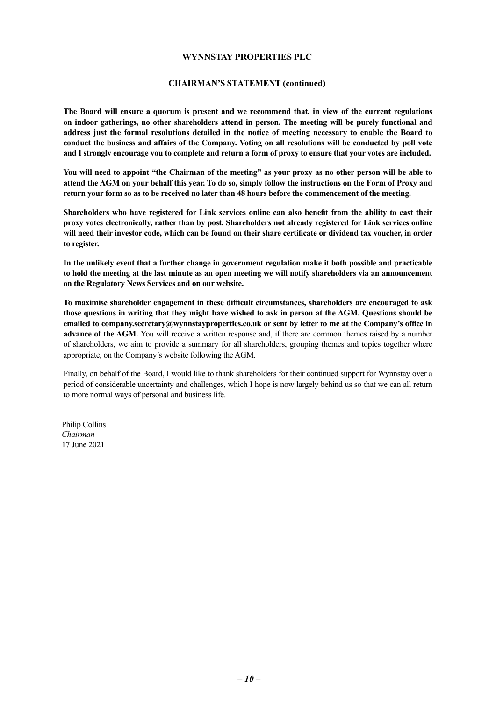#### **CHAIRMAN'S STATEMENT (continued)**

**The Board will ensure a quorum is present and we recommend that, in view of the current regulations on indoor gatherings, no other shareholders attend in person. The meeting will be purely functional and address just the formal resolutions detailed in the notice of meeting necessary to enable the Board to conduct the business and affairs of the Company. Voting on all resolutions will be conducted by poll vote and I strongly encourage you to complete and return a form of proxy to ensure that your votes are included.** 

**You will need to appoint "the Chairman of the meeting" as your proxy as no other person will be able to attend the AGM on your behalf this year. To do so, simply follow the instructions on the Form of Proxy and return your form so as to be received no later than 48 hours before the commencement of the meeting.** 

**Shareholders who have registered for Link services online can also benefit from the ability to cast their proxy votes electronically, rather than by post. Shareholders not already registered for Link services online will need their investor code, which can be found on their share certificate or dividend tax voucher, in order to register.**

**In the unlikely event that a further change in government regulation make it both possible and practicable to hold the meeting at the last minute as an open meeting we will notify shareholders via an announcement on the Regulatory News Services and on our website.**

**To maximise shareholder engagement in these difficult circumstances, shareholders are encouraged to ask those questions in writing that they might have wished to ask in person at the AGM. Questions should be emailed to company.secretary@wynnstayproperties.co.uk or sent by letter to me at the Company's office in advance of the AGM.** You will receive a written response and, if there are common themes raised by a number of shareholders, we aim to provide a summary for all shareholders, grouping themes and topics together where appropriate, on the Company's website following the AGM.

Finally, on behalf of the Board, I would like to thank shareholders for their continued support for Wynnstay over a period of considerable uncertainty and challenges, which I hope is now largely behind us so that we can all return to more normal ways of personal and business life.

Philip Collins *Chairman* 17 June 2021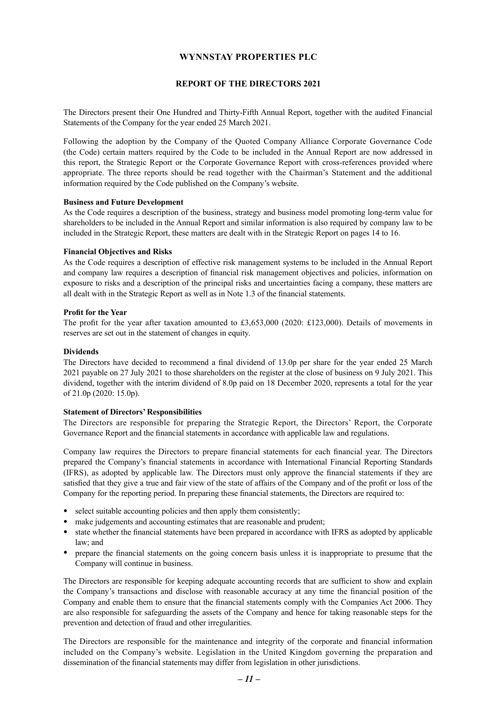#### **REPORT OF THE DIRECTORS 2021**

<span id="page-11-0"></span>The Directors present their One Hundred and Thirty-Fifth Annual Report, together with the audited Financial Statements of the Company for the year ended 25 March 2021.

Following the adoption by the Company of the Quoted Company Alliance Corporate Governance Code (the Code) certain matters required by the Code to be included in the Annual Report are now addressed in this report, the Strategic Report or the Corporate Governance Report with cross-references provided where appropriate. The three reports should be read together with the Chairman's Statement and the additional information required by the Code published on the Company's website.

#### **Business and Future Development**

As the Code requires a description of the business, strategy and business model promoting long-term value for shareholders to be included in the Annual Report and similar information is also required by company law to be included in the Strategic Report, these matters are dealt with in the Strategic Report on pages 14 to 16.

#### **Financial Objectives and Risks**

As the Code requires a description of effective risk management systems to be included in the Annual Report and company law requires a description of financial risk management objectives and policies, information on exposure to risks and a description of the principal risks and uncertainties facing a company, these matters are all dealt with in the Strategic Report as well as in Note 1.3 of the financial statements.

#### **Profit for the Year**

The profit for the year after taxation amounted to £3,653,000 (2020: £123,000). Details of movements in reserves are set out in the statement of changes in equity.

#### **Dividends**

The Directors have decided to recommend a final dividend of 13.0p per share for the year ended 25 March 2021 payable on 27 July 2021 to those shareholders on the register at the close of business on 9 July 2021. This dividend, together with the interim dividend of 8.0p paid on 18 December 2020, represents a total for the year of 21.0p (2020: 15.0p).

#### **Statement of Directors' Responsibilities**

The Directors are responsible for preparing the Strategic Report, the Directors' Report, the Corporate Governance Report and the financial statements in accordance with applicable law and regulations.

Company law requires the Directors to prepare financial statements for each financial year. The Directors prepared the Company's financial statements in accordance with International Financial Reporting Standards (IFRS), as adopted by applicable law. The Directors must only approve the financial statements if they are satisfied that they give a true and fair view of the state of affairs of the Company and of the profit or loss of the Company for the reporting period. In preparing these financial statements, the Directors are required to:

- select suitable accounting policies and then apply them consistently;
- make judgements and accounting estimates that are reasonable and prudent;
- state whether the financial statements have been prepared in accordance with IFRS as adopted by applicable law; and
- prepare the financial statements on the going concern basis unless it is inappropriate to presume that the Company will continue in business.

The Directors are responsible for keeping adequate accounting records that are sufficient to show and explain the Company's transactions and disclose with reasonable accuracy at any time the financial position of the Company and enable them to ensure that the financial statements comply with the Companies Act 2006. They are also responsible for safeguarding the assets of the Company and hence for taking reasonable steps for the prevention and detection of fraud and other irregularities.

The Directors are responsible for the maintenance and integrity of the corporate and financial information included on the Company's website. Legislation in the United Kingdom governing the preparation and dissemination of the financial statements may differ from legislation in other jurisdictions.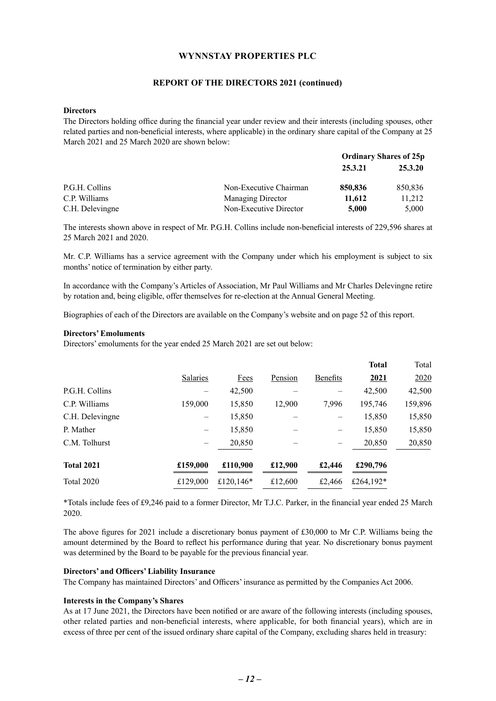#### **REPORT OF THE DIRECTORS 2021 (continued)**

#### **Directors**

The Directors holding office during the financial year under review and their interests (including spouses, other related parties and non-beneficial interests, where applicable) in the ordinary share capital of the Company at 25 March 2021 and 25 March 2020 are shown below:

|                 |                        | <b>Ordinary Shares of 25p</b> |         |
|-----------------|------------------------|-------------------------------|---------|
|                 |                        | 25.3.21                       | 25.3.20 |
| P.G.H. Collins  | Non-Executive Chairman | 850,836                       | 850,836 |
| C.P. Williams   | Managing Director      | 11,612                        | 11,212  |
| C.H. Delevingne | Non-Executive Director | 5,000                         | 5,000   |

The interests shown above in respect of Mr. P.G.H. Collins include non-beneficial interests of 229,596 shares at 25 March 2021 and 2020.

Mr. C.P. Williams has a service agreement with the Company under which his employment is subject to six months' notice of termination by either party.

In accordance with the Company's Articles of Association, Mr Paul Williams and Mr Charles Delevingne retire by rotation and, being eligible, offer themselves for re-election at the Annual General Meeting.

Biographies of each of the Directors are available on the Company's website and on page 52 of this report.

#### **Directors' Emoluments**

Directors' emoluments for the year ended 25 March 2021 are set out below:

|                   |          |              |         |                 | <b>Total</b> | Total   |
|-------------------|----------|--------------|---------|-----------------|--------------|---------|
|                   | Salaries | Fees         | Pension | <b>Benefits</b> | 2021         | 2020    |
| P.G.H. Collins    |          | 42,500       |         |                 | 42,500       | 42,500  |
| C.P. Williams     | 159,000  | 15,850       | 12,900  | 7,996           | 195,746      | 159,896 |
| C.H. Delevingne   |          | 15,850       |         |                 | 15,850       | 15,850  |
| P. Mather         |          | 15,850       |         |                 | 15,850       | 15,850  |
| C.M. Tolhurst     |          | 20,850       |         |                 | 20,850       | 20,850  |
| <b>Total 2021</b> | £159,000 | £110,900     | £12,900 | £2,446          | £290,796     |         |
| Total 2020        | £129,000 | £120,146 $*$ | £12,600 | £2,466          | £264,192 $*$ |         |

\*Totals include fees of £9,246 paid to a former Director, Mr T.J.C. Parker, in the financial year ended 25 March 2020.

The above figures for 2021 include a discretionary bonus payment of £30,000 to Mr C.P. Williams being the amount determined by the Board to reflect his performance during that year. No discretionary bonus payment was determined by the Board to be payable for the previous financial year.

#### **Directors' and Officers' Liability Insurance**

The Company has maintained Directors' and Officers' insurance as permitted by the Companies Act 2006.

#### **Interests in the Company's Shares**

As at 17 June 2021, the Directors have been notified or are aware of the following interests (including spouses, other related parties and non-beneficial interests, where applicable, for both financial years), which are in excess of three per cent of the issued ordinary share capital of the Company, excluding shares held in treasury: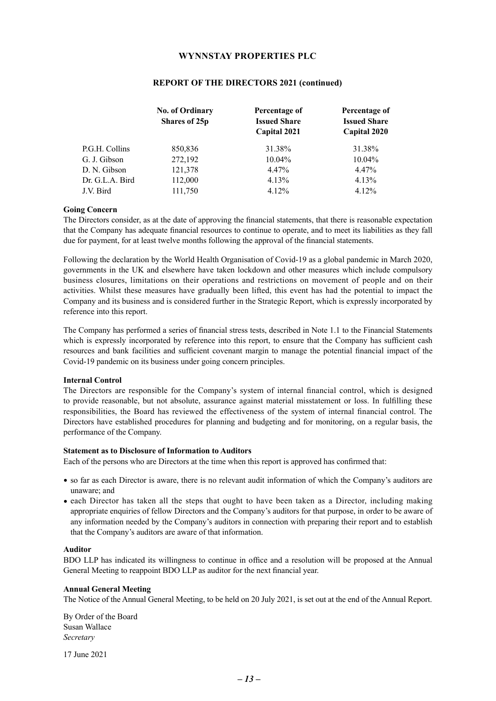|                 | <b>No. of Ordinary</b><br>Shares of 25p | Percentage of<br><b>Issued Share</b><br>Capital 2021 | Percentage of<br><b>Issued Share</b><br>Capital 2020 |
|-----------------|-----------------------------------------|------------------------------------------------------|------------------------------------------------------|
|                 |                                         |                                                      |                                                      |
| P.G.H. Collins  | 850,836                                 | 31.38%                                               | 31.38%                                               |
| G. J. Gibson    | 272,192                                 | $10.04\%$                                            | $10.04\%$                                            |
| D. N. Gibson    | 121,378                                 | 4.47%                                                | 4.47%                                                |
| Dr. G.L.A. Bird | 112,000                                 | 4.13%                                                | 4.13%                                                |
| J.V. Bird       | 111,750                                 | 4.12%                                                | 4.12%                                                |

#### **REPORT OF THE DIRECTORS 2021 (continued)**

#### **Going Concern**

The Directors consider, as at the date of approving the financial statements, that there is reasonable expectation that the Company has adequate financial resources to continue to operate, and to meet its liabilities as they fall due for payment, for at least twelve months following the approval of the financial statements.

Following the declaration by the World Health Organisation of Covid-19 as a global pandemic in March 2020, governments in the UK and elsewhere have taken lockdown and other measures which include compulsory business closures, limitations on their operations and restrictions on movement of people and on their activities. Whilst these measures have gradually been lifted, this event has had the potential to impact the Company and its business and is considered further in the Strategic Report, which is expressly incorporated by reference into this report.

The Company has performed a series of financial stress tests, described in Note 1.1 to the Financial Statements which is expressly incorporated by reference into this report, to ensure that the Company has sufficient cash resources and bank facilities and sufficient covenant margin to manage the potential financial impact of the Covid-19 pandemic on its business under going concern principles.

#### **Internal Control**

The Directors are responsible for the Company's system of internal financial control, which is designed to provide reasonable, but not absolute, assurance against material misstatement or loss. In fulfilling these responsibilities, the Board has reviewed the effectiveness of the system of internal financial control. The Directors have established procedures for planning and budgeting and for monitoring, on a regular basis, the performance of the Company.

#### **Statement as to Disclosure of Information to Auditors**

Each of the persons who are Directors at the time when this report is approved has confirmed that:

- so far as each Director is aware, there is no relevant audit information of which the Company's auditors are unaware; and
- each Director has taken all the steps that ought to have been taken as a Director, including making appropriate enquiries of fellow Directors and the Company's auditors for that purpose, in order to be aware of any information needed by the Company's auditors in connection with preparing their report and to establish that the Company's auditors are aware of that information.

#### **Auditor**

BDO LLP has indicated its willingness to continue in office and a resolution will be proposed at the Annual General Meeting to reappoint BDO LLP as auditor for the next financial year.

#### **Annual General Meeting**

The Notice of the Annual General Meeting, to be held on 20 July 2021, is set out at the end of the Annual Report.

By Order of the Board Susan Wallace *Secretary*

17 June 2021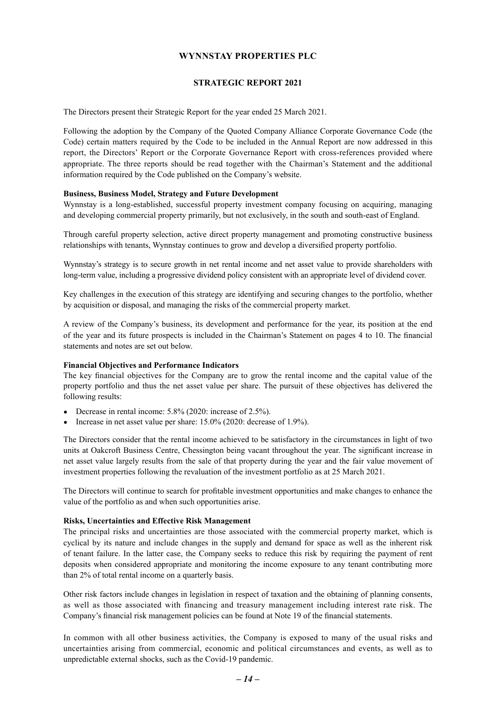#### **STRATEGIC REPORT 2021**

<span id="page-14-0"></span>The Directors present their Strategic Report for the year ended 25 March 2021.

Following the adoption by the Company of the Quoted Company Alliance Corporate Governance Code (the Code) certain matters required by the Code to be included in the Annual Report are now addressed in this report, the Directors' Report or the Corporate Governance Report with cross-references provided where appropriate. The three reports should be read together with the Chairman's Statement and the additional information required by the Code published on the Company's website.

#### **Business, Business Model, Strategy and Future Development**

Wynnstay is a long-established, successful property investment company focusing on acquiring, managing and developing commercial property primarily, but not exclusively, in the south and south-east of England.

Through careful property selection, active direct property management and promoting constructive business relationships with tenants, Wynnstay continues to grow and develop a diversified property portfolio.

Wynnstay's strategy is to secure growth in net rental income and net asset value to provide shareholders with long-term value, including a progressive dividend policy consistent with an appropriate level of dividend cover.

Key challenges in the execution of this strategy are identifying and securing changes to the portfolio, whether by acquisition or disposal, and managing the risks of the commercial property market.

A review of the Company's business, its development and performance for the year, its position at the end of the year and its future prospects is included in the Chairman's Statement on pages 4 to 10. The financial statements and notes are set out below.

#### **Financial Objectives and Performance Indicators**

The key financial objectives for the Company are to grow the rental income and the capital value of the property portfolio and thus the net asset value per share. The pursuit of these objectives has delivered the following results:

- Decrease in rental income: 5.8% (2020: increase of 2.5%).
- Increase in net asset value per share: 15.0% (2020: decrease of 1.9%).

The Directors consider that the rental income achieved to be satisfactory in the circumstances in light of two units at Oakcroft Business Centre, Chessington being vacant throughout the year. The significant increase in net asset value largely results from the sale of that property during the year and the fair value movement of investment properties following the revaluation of the investment portfolio as at 25 March 2021.

The Directors will continue to search for profitable investment opportunities and make changes to enhance the value of the portfolio as and when such opportunities arise.

#### **Risks, Uncertainties and Effective Risk Management**

The principal risks and uncertainties are those associated with the commercial property market, which is cyclical by its nature and include changes in the supply and demand for space as well as the inherent risk of tenant failure. In the latter case, the Company seeks to reduce this risk by requiring the payment of rent deposits when considered appropriate and monitoring the income exposure to any tenant contributing more than 2% of total rental income on a quarterly basis.

Other risk factors include changes in legislation in respect of taxation and the obtaining of planning consents, as well as those associated with financing and treasury management including interest rate risk. The Company's financial risk management policies can be found at Note 19 of the financial statements.

In common with all other business activities, the Company is exposed to many of the usual risks and uncertainties arising from commercial, economic and political circumstances and events, as well as to unpredictable external shocks, such as the Covid-19 pandemic.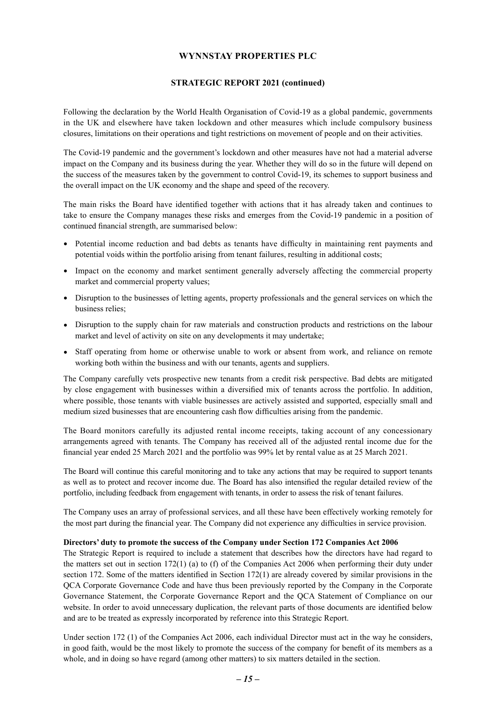#### **STRATEGIC REPORT 2021 (continued)**

Following the declaration by the World Health Organisation of Covid-19 as a global pandemic, governments in the UK and elsewhere have taken lockdown and other measures which include compulsory business closures, limitations on their operations and tight restrictions on movement of people and on their activities.

The Covid-19 pandemic and the government's lockdown and other measures have not had a material adverse impact on the Company and its business during the year. Whether they will do so in the future will depend on the success of the measures taken by the government to control Covid-19, its schemes to support business and the overall impact on the UK economy and the shape and speed of the recovery.

The main risks the Board have identified together with actions that it has already taken and continues to take to ensure the Company manages these risks and emerges from the Covid-19 pandemic in a position of continued financial strength, are summarised below:

- Potential income reduction and bad debts as tenants have difficulty in maintaining rent payments and potential voids within the portfolio arising from tenant failures, resulting in additional costs;
- Impact on the economy and market sentiment generally adversely affecting the commercial property market and commercial property values;
- Disruption to the businesses of letting agents, property professionals and the general services on which the business relies;
- Disruption to the supply chain for raw materials and construction products and restrictions on the labour market and level of activity on site on any developments it may undertake;
- Staff operating from home or otherwise unable to work or absent from work, and reliance on remote working both within the business and with our tenants, agents and suppliers.

The Company carefully vets prospective new tenants from a credit risk perspective. Bad debts are mitigated by close engagement with businesses within a diversified mix of tenants across the portfolio. In addition, where possible, those tenants with viable businesses are actively assisted and supported, especially small and medium sized businesses that are encountering cash flow difficulties arising from the pandemic.

The Board monitors carefully its adjusted rental income receipts, taking account of any concessionary arrangements agreed with tenants. The Company has received all of the adjusted rental income due for the financial year ended 25 March 2021 and the portfolio was 99% let by rental value as at 25 March 2021.

The Board will continue this careful monitoring and to take any actions that may be required to support tenants as well as to protect and recover income due. The Board has also intensified the regular detailed review of the portfolio, including feedback from engagement with tenants, in order to assess the risk of tenant failures.

The Company uses an array of professional services, and all these have been effectively working remotely for the most part during the financial year. The Company did not experience any difficulties in service provision.

#### **Directors' duty to promote the success of the Company under Section 172 Companies Act 2006**

The Strategic Report is required to include a statement that describes how the directors have had regard to the matters set out in section 172(1) (a) to (f) of the Companies Act 2006 when performing their duty under section 172. Some of the matters identified in Section 172(1) are already covered by similar provisions in the QCA Corporate Governance Code and have thus been previously reported by the Company in the Corporate Governance Statement, the Corporate Governance Report and the QCA Statement of Compliance on our website. In order to avoid unnecessary duplication, the relevant parts of those documents are identified below and are to be treated as expressly incorporated by reference into this Strategic Report.

Under section 172 (1) of the Companies Act 2006, each individual Director must act in the way he considers, in good faith, would be the most likely to promote the success of the company for benefit of its members as a whole, and in doing so have regard (among other matters) to six matters detailed in the section.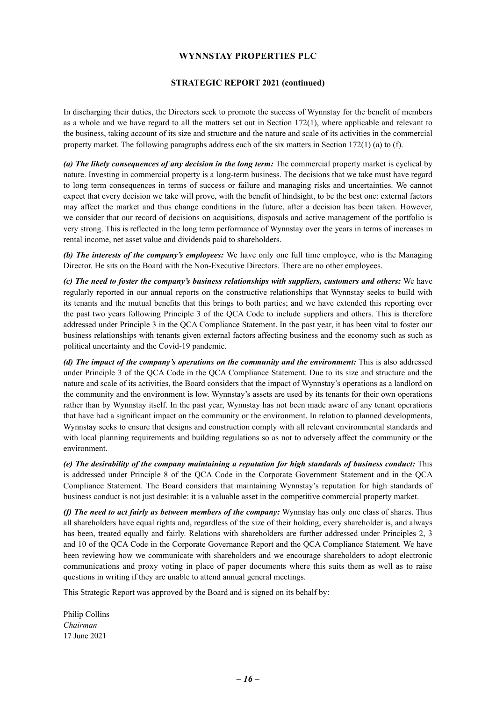#### **STRATEGIC REPORT 2021 (continued)**

In discharging their duties, the Directors seek to promote the success of Wynnstay for the benefit of members as a whole and we have regard to all the matters set out in Section 172(1), where applicable and relevant to the business, taking account of its size and structure and the nature and scale of its activities in the commercial property market. The following paragraphs address each of the six matters in Section 172(1) (a) to (f).

*(a) The likely consequences of any decision in the long term:* The commercial property market is cyclical by nature. Investing in commercial property is a long-term business. The decisions that we take must have regard to long term consequences in terms of success or failure and managing risks and uncertainties. We cannot expect that every decision we take will prove, with the benefit of hindsight, to be the best one: external factors may affect the market and thus change conditions in the future, after a decision has been taken. However, we consider that our record of decisions on acquisitions, disposals and active management of the portfolio is very strong. This is reflected in the long term performance of Wynnstay over the years in terms of increases in rental income, net asset value and dividends paid to shareholders.

*(b) The interests of the company's employees:* We have only one full time employee, who is the Managing Director. He sits on the Board with the Non-Executive Directors. There are no other employees.

*(c) The need to foster the company's business relationships with suppliers, customers and others:* We have regularly reported in our annual reports on the constructive relationships that Wynnstay seeks to build with its tenants and the mutual benefits that this brings to both parties; and we have extended this reporting over the past two years following Principle 3 of the QCA Code to include suppliers and others. This is therefore addressed under Principle 3 in the QCA Compliance Statement. In the past year, it has been vital to foster our business relationships with tenants given external factors affecting business and the economy such as such as political uncertainty and the Covid-19 pandemic.

*(d) The impact of the company's operations on the community and the environment:* This is also addressed under Principle 3 of the QCA Code in the QCA Compliance Statement. Due to its size and structure and the nature and scale of its activities, the Board considers that the impact of Wynnstay's operations as a landlord on the community and the environment is low. Wynnstay's assets are used by its tenants for their own operations rather than by Wynnstay itself. In the past year, Wynnstay has not been made aware of any tenant operations that have had a significant impact on the community or the environment. In relation to planned developments, Wynnstay seeks to ensure that designs and construction comply with all relevant environmental standards and with local planning requirements and building regulations so as not to adversely affect the community or the environment.

*(e) The desirability of the company maintaining a reputation for high standards of business conduct:* This is addressed under Principle 8 of the QCA Code in the Corporate Government Statement and in the QCA Compliance Statement. The Board considers that maintaining Wynnstay's reputation for high standards of business conduct is not just desirable: it is a valuable asset in the competitive commercial property market.

*(f) The need to act fairly as between members of the company:* Wynnstay has only one class of shares. Thus all shareholders have equal rights and, regardless of the size of their holding, every shareholder is, and always has been, treated equally and fairly. Relations with shareholders are further addressed under Principles 2, 3 and 10 of the QCA Code in the Corporate Governance Report and the QCA Compliance Statement. We have been reviewing how we communicate with shareholders and we encourage shareholders to adopt electronic communications and proxy voting in place of paper documents where this suits them as well as to raise questions in writing if they are unable to attend annual general meetings.

This Strategic Report was approved by the Board and is signed on its behalf by:

Philip Collins *Chairman* 17 June 2021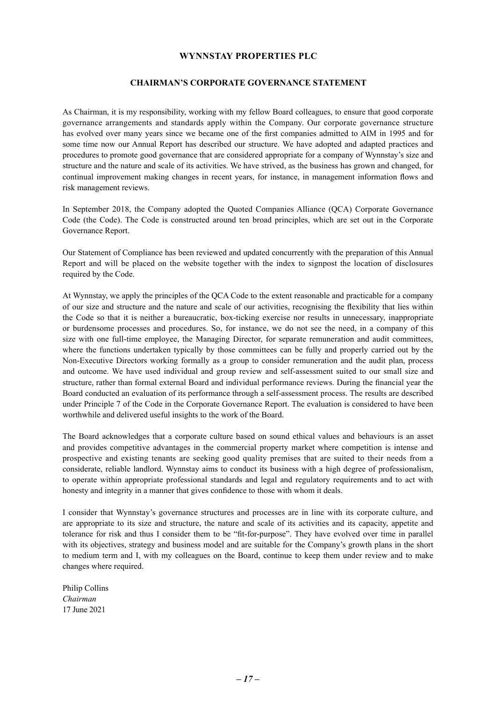#### **CHAIRMAN'S CORPORATE GOVERNANCE STATEMENT**

<span id="page-17-0"></span>As Chairman, it is my responsibility, working with my fellow Board colleagues, to ensure that good corporate governance arrangements and standards apply within the Company. Our corporate governance structure has evolved over many years since we became one of the first companies admitted to AIM in 1995 and for some time now our Annual Report has described our structure. We have adopted and adapted practices and procedures to promote good governance that are considered appropriate for a company of Wynnstay's size and structure and the nature and scale of its activities. We have strived, as the business has grown and changed, for continual improvement making changes in recent years, for instance, in management information flows and risk management reviews.

In September 2018, the Company adopted the Quoted Companies Alliance (QCA) Corporate Governance Code (the Code). The Code is constructed around ten broad principles, which are set out in the Corporate Governance Report.

Our Statement of Compliance has been reviewed and updated concurrently with the preparation of this Annual Report and will be placed on the website together with the index to signpost the location of disclosures required by the Code.

At Wynnstay, we apply the principles of the QCA Code to the extent reasonable and practicable for a company of our size and structure and the nature and scale of our activities, recognising the flexibility that lies within the Code so that it is neither a bureaucratic, box-ticking exercise nor results in unnecessary, inappropriate or burdensome processes and procedures. So, for instance, we do not see the need, in a company of this size with one full-time employee, the Managing Director, for separate remuneration and audit committees, where the functions undertaken typically by those committees can be fully and properly carried out by the Non-Executive Directors working formally as a group to consider remuneration and the audit plan, process and outcome. We have used individual and group review and self-assessment suited to our small size and structure, rather than formal external Board and individual performance reviews. During the financial year the Board conducted an evaluation of its performance through a self-assessment process. The results are described under Principle 7 of the Code in the Corporate Governance Report. The evaluation is considered to have been worthwhile and delivered useful insights to the work of the Board.

The Board acknowledges that a corporate culture based on sound ethical values and behaviours is an asset and provides competitive advantages in the commercial property market where competition is intense and prospective and existing tenants are seeking good quality premises that are suited to their needs from a considerate, reliable landlord. Wynnstay aims to conduct its business with a high degree of professionalism, to operate within appropriate professional standards and legal and regulatory requirements and to act with honesty and integrity in a manner that gives confidence to those with whom it deals.

I consider that Wynnstay's governance structures and processes are in line with its corporate culture, and are appropriate to its size and structure, the nature and scale of its activities and its capacity, appetite and tolerance for risk and thus I consider them to be "fit-for-purpose". They have evolved over time in parallel with its objectives, strategy and business model and are suitable for the Company's growth plans in the short to medium term and I, with my colleagues on the Board, continue to keep them under review and to make changes where required.

Philip Collins *Chairman* 17 June 2021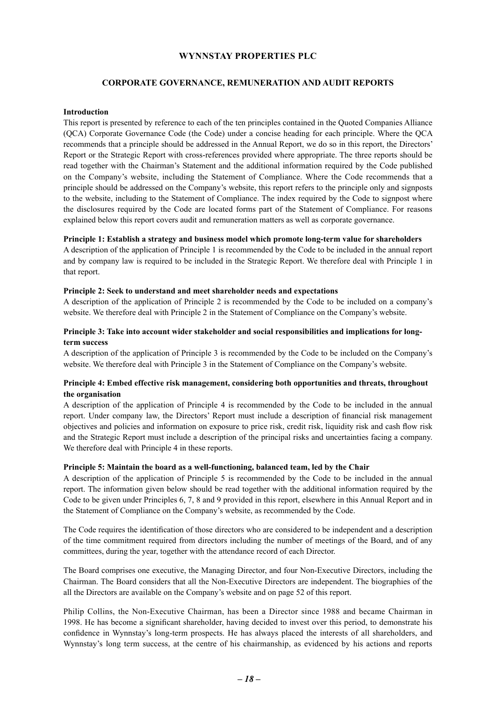#### **CORPORATE GOVERNANCE, REMUNERATION AND AUDIT REPORTS**

#### <span id="page-18-0"></span>**Introduction**

This report is presented by reference to each of the ten principles contained in the Quoted Companies Alliance (QCA) Corporate Governance Code (the Code) under a concise heading for each principle. Where the QCA recommends that a principle should be addressed in the Annual Report, we do so in this report, the Directors' Report or the Strategic Report with cross-references provided where appropriate. The three reports should be read together with the Chairman's Statement and the additional information required by the Code published on the Company's website, including the Statement of Compliance. Where the Code recommends that a principle should be addressed on the Company's website, this report refers to the principle only and signposts to the website, including to the Statement of Compliance. The index required by the Code to signpost where the disclosures required by the Code are located forms part of the Statement of Compliance. For reasons explained below this report covers audit and remuneration matters as well as corporate governance.

#### **Principle 1: Establish a strategy and business model which promote long-term value for shareholders**

A description of the application of Principle 1 is recommended by the Code to be included in the annual report and by company law is required to be included in the Strategic Report. We therefore deal with Principle 1 in that report.

#### **Principle 2: Seek to understand and meet shareholder needs and expectations**

A description of the application of Principle 2 is recommended by the Code to be included on a company's website. We therefore deal with Principle 2 in the Statement of Compliance on the Company's website.

#### **Principle 3: Take into account wider stakeholder and social responsibilities and implications for longterm success**

A description of the application of Principle 3 is recommended by the Code to be included on the Company's website. We therefore deal with Principle 3 in the Statement of Compliance on the Company's website.

#### **Principle 4: Embed effective risk management, considering both opportunities and threats, throughout the organisation**

A description of the application of Principle 4 is recommended by the Code to be included in the annual report. Under company law, the Directors' Report must include a description of financial risk management objectives and policies and information on exposure to price risk, credit risk, liquidity risk and cash flow risk and the Strategic Report must include a description of the principal risks and uncertainties facing a company. We therefore deal with Principle 4 in these reports.

#### **Principle 5: Maintain the board as a well-functioning, balanced team, led by the Chair**

A description of the application of Principle 5 is recommended by the Code to be included in the annual report. The information given below should be read together with the additional information required by the Code to be given under Principles 6, 7, 8 and 9 provided in this report, elsewhere in this Annual Report and in the Statement of Compliance on the Company's website, as recommended by the Code.

The Code requires the identification of those directors who are considered to be independent and a description of the time commitment required from directors including the number of meetings of the Board, and of any committees, during the year, together with the attendance record of each Director.

The Board comprises one executive, the Managing Director, and four Non-Executive Directors, including the Chairman. The Board considers that all the Non-Executive Directors are independent. The biographies of the all the Directors are available on the Company's website and on page 52 of this report.

Philip Collins, the Non-Executive Chairman, has been a Director since 1988 and became Chairman in 1998. He has become a significant shareholder, having decided to invest over this period, to demonstrate his confidence in Wynnstay's long-term prospects. He has always placed the interests of all shareholders, and Wynnstay's long term success, at the centre of his chairmanship, as evidenced by his actions and reports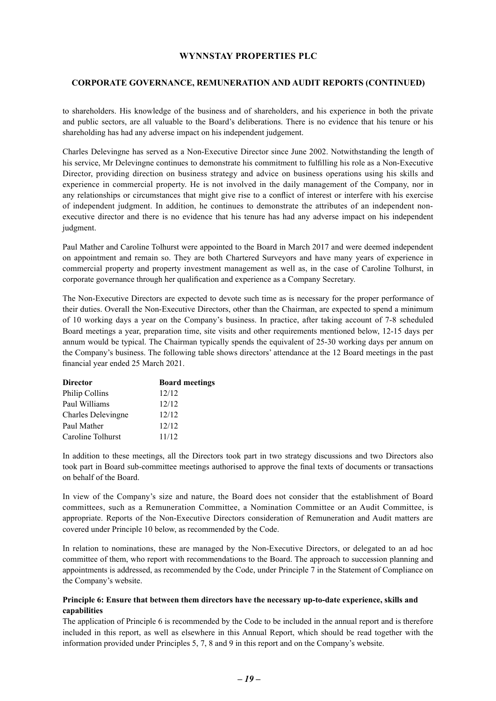#### **CORPORATE GOVERNANCE, REMUNERATION AND AUDIT REPORTS (CONTINUED)**

to shareholders. His knowledge of the business and of shareholders, and his experience in both the private and public sectors, are all valuable to the Board's deliberations. There is no evidence that his tenure or his shareholding has had any adverse impact on his independent judgement.

Charles Delevingne has served as a Non-Executive Director since June 2002. Notwithstanding the length of his service, Mr Delevingne continues to demonstrate his commitment to fulfilling his role as a Non-Executive Director, providing direction on business strategy and advice on business operations using his skills and experience in commercial property. He is not involved in the daily management of the Company, nor in any relationships or circumstances that might give rise to a conflict of interest or interfere with his exercise of independent judgment. In addition, he continues to demonstrate the attributes of an independent nonexecutive director and there is no evidence that his tenure has had any adverse impact on his independent judgment.

Paul Mather and Caroline Tolhurst were appointed to the Board in March 2017 and were deemed independent on appointment and remain so. They are both Chartered Surveyors and have many years of experience in commercial property and property investment management as well as, in the case of Caroline Tolhurst, in corporate governance through her qualification and experience as a Company Secretary.

The Non-Executive Directors are expected to devote such time as is necessary for the proper performance of their duties. Overall the Non-Executive Directors, other than the Chairman, are expected to spend a minimum of 10 working days a year on the Company's business. In practice, after taking account of 7-8 scheduled Board meetings a year, preparation time, site visits and other requirements mentioned below, 12-15 days per annum would be typical. The Chairman typically spends the equivalent of 25-30 working days per annum on the Company's business. The following table shows directors' attendance at the 12 Board meetings in the past financial year ended 25 March 2021.

| <b>Board meetings</b> |
|-----------------------|
| 12/12                 |
| 12/12                 |
| 12/12                 |
| 12/12                 |
| 11/12                 |
|                       |

In addition to these meetings, all the Directors took part in two strategy discussions and two Directors also took part in Board sub-committee meetings authorised to approve the final texts of documents or transactions on behalf of the Board.

In view of the Company's size and nature, the Board does not consider that the establishment of Board committees, such as a Remuneration Committee, a Nomination Committee or an Audit Committee, is appropriate. Reports of the Non-Executive Directors consideration of Remuneration and Audit matters are covered under Principle 10 below, as recommended by the Code.

In relation to nominations, these are managed by the Non-Executive Directors, or delegated to an ad hoc committee of them, who report with recommendations to the Board. The approach to succession planning and appointments is addressed, as recommended by the Code, under Principle 7 in the Statement of Compliance on the Company's website.

#### **Principle 6: Ensure that between them directors have the necessary up-to-date experience, skills and capabilities**

The application of Principle 6 is recommended by the Code to be included in the annual report and is therefore included in this report, as well as elsewhere in this Annual Report, which should be read together with the information provided under Principles 5, 7, 8 and 9 in this report and on the Company's website.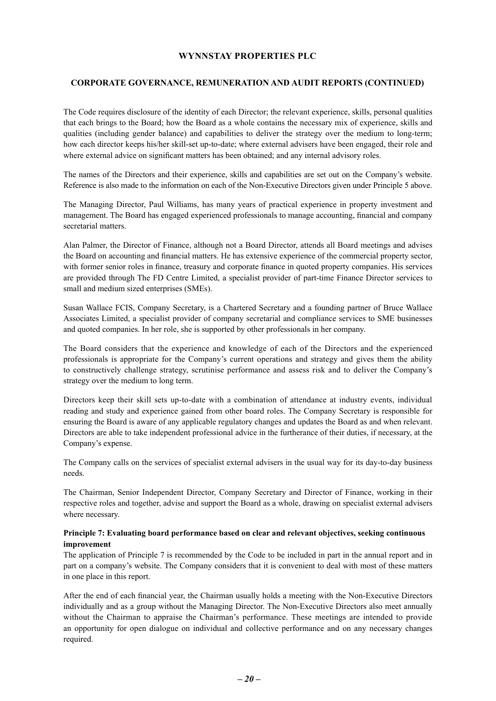#### **CORPORATE GOVERNANCE, REMUNERATION AND AUDIT REPORTS (CONTINUED)**

The Code requires disclosure of the identity of each Director; the relevant experience, skills, personal qualities that each brings to the Board; how the Board as a whole contains the necessary mix of experience, skills and qualities (including gender balance) and capabilities to deliver the strategy over the medium to long-term; how each director keeps his/her skill-set up-to-date; where external advisers have been engaged, their role and where external advice on significant matters has been obtained; and any internal advisory roles.

The names of the Directors and their experience, skills and capabilities are set out on the Company's website. Reference is also made to the information on each of the Non-Executive Directors given under Principle 5 above.

The Managing Director, Paul Williams, has many years of practical experience in property investment and management. The Board has engaged experienced professionals to manage accounting, financial and company secretarial matters.

Alan Palmer, the Director of Finance, although not a Board Director, attends all Board meetings and advises the Board on accounting and financial matters. He has extensive experience of the commercial property sector, with former senior roles in finance, treasury and corporate finance in quoted property companies. His services are provided through The FD Centre Limited, a specialist provider of part-time Finance Director services to small and medium sized enterprises (SMEs).

Susan Wallace FCIS, Company Secretary, is a Chartered Secretary and a founding partner of Bruce Wallace Associates Limited, a specialist provider of company secretarial and compliance services to SME businesses and quoted companies. In her role, she is supported by other professionals in her company.

The Board considers that the experience and knowledge of each of the Directors and the experienced professionals is appropriate for the Company's current operations and strategy and gives them the ability to constructively challenge strategy, scrutinise performance and assess risk and to deliver the Company's strategy over the medium to long term.

Directors keep their skill sets up-to-date with a combination of attendance at industry events, individual reading and study and experience gained from other board roles. The Company Secretary is responsible for ensuring the Board is aware of any applicable regulatory changes and updates the Board as and when relevant. Directors are able to take independent professional advice in the furtherance of their duties, if necessary, at the Company's expense.

The Company calls on the services of specialist external advisers in the usual way for its day-to-day business needs.

The Chairman, Senior Independent Director, Company Secretary and Director of Finance, working in their respective roles and together, advise and support the Board as a whole, drawing on specialist external advisers where necessary.

#### **Principle 7: Evaluating board performance based on clear and relevant objectives, seeking continuous improvement**

The application of Principle 7 is recommended by the Code to be included in part in the annual report and in part on a company's website. The Company considers that it is convenient to deal with most of these matters in one place in this report.

After the end of each financial year, the Chairman usually holds a meeting with the Non-Executive Directors individually and as a group without the Managing Director. The Non-Executive Directors also meet annually without the Chairman to appraise the Chairman's performance. These meetings are intended to provide an opportunity for open dialogue on individual and collective performance and on any necessary changes required.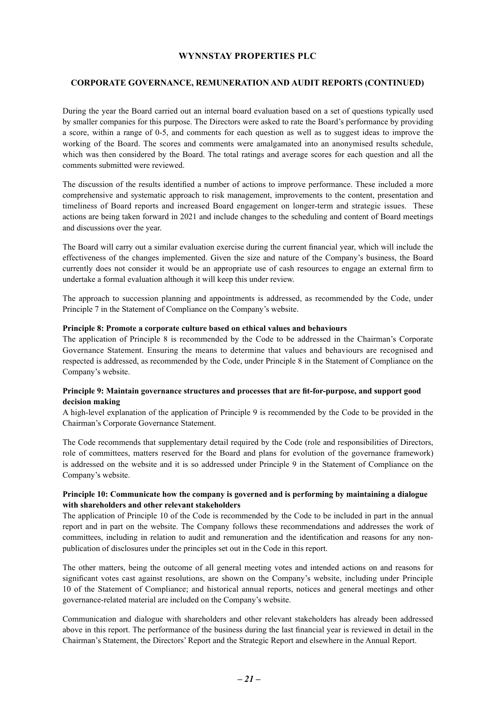#### **CORPORATE GOVERNANCE, REMUNERATION AND AUDIT REPORTS (CONTINUED)**

During the year the Board carried out an internal board evaluation based on a set of questions typically used by smaller companies for this purpose. The Directors were asked to rate the Board's performance by providing a score, within a range of 0-5, and comments for each question as well as to suggest ideas to improve the working of the Board. The scores and comments were amalgamated into an anonymised results schedule, which was then considered by the Board. The total ratings and average scores for each question and all the comments submitted were reviewed.

The discussion of the results identified a number of actions to improve performance. These included a more comprehensive and systematic approach to risk management, improvements to the content, presentation and timeliness of Board reports and increased Board engagement on longer-term and strategic issues. These actions are being taken forward in 2021 and include changes to the scheduling and content of Board meetings and discussions over the year.

The Board will carry out a similar evaluation exercise during the current financial year, which will include the effectiveness of the changes implemented. Given the size and nature of the Company's business, the Board currently does not consider it would be an appropriate use of cash resources to engage an external firm to undertake a formal evaluation although it will keep this under review.

The approach to succession planning and appointments is addressed, as recommended by the Code, under Principle 7 in the Statement of Compliance on the Company's website.

#### **Principle 8: Promote a corporate culture based on ethical values and behaviours**

The application of Principle 8 is recommended by the Code to be addressed in the Chairman's Corporate Governance Statement. Ensuring the means to determine that values and behaviours are recognised and respected is addressed, as recommended by the Code, under Principle 8 in the Statement of Compliance on the Company's website.

#### **Principle 9: Maintain governance structures and processes that are fit-for-purpose, and support good decision making**

A high-level explanation of the application of Principle 9 is recommended by the Code to be provided in the Chairman's Corporate Governance Statement.

The Code recommends that supplementary detail required by the Code (role and responsibilities of Directors, role of committees, matters reserved for the Board and plans for evolution of the governance framework) is addressed on the website and it is so addressed under Principle 9 in the Statement of Compliance on the Company's website.

#### **Principle 10: Communicate how the company is governed and is performing by maintaining a dialogue with shareholders and other relevant stakeholders**

The application of Principle 10 of the Code is recommended by the Code to be included in part in the annual report and in part on the website. The Company follows these recommendations and addresses the work of committees, including in relation to audit and remuneration and the identification and reasons for any nonpublication of disclosures under the principles set out in the Code in this report.

The other matters, being the outcome of all general meeting votes and intended actions on and reasons for significant votes cast against resolutions, are shown on the Company's website, including under Principle 10 of the Statement of Compliance; and historical annual reports, notices and general meetings and other governance-related material are included on the Company's website.

Communication and dialogue with shareholders and other relevant stakeholders has already been addressed above in this report. The performance of the business during the last financial year is reviewed in detail in the Chairman's Statement, the Directors' Report and the Strategic Report and elsewhere in the Annual Report.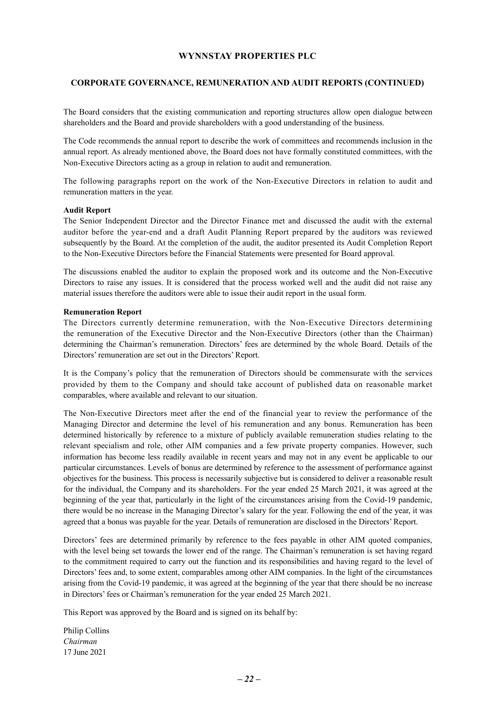#### **CORPORATE GOVERNANCE, REMUNERATION AND AUDIT REPORTS (CONTINUED)**

The Board considers that the existing communication and reporting structures allow open dialogue between shareholders and the Board and provide shareholders with a good understanding of the business.

The Code recommends the annual report to describe the work of committees and recommends inclusion in the annual report. As already mentioned above, the Board does not have formally constituted committees, with the Non-Executive Directors acting as a group in relation to audit and remuneration.

The following paragraphs report on the work of the Non-Executive Directors in relation to audit and remuneration matters in the year.

#### **Audit Report**

The Senior Independent Director and the Director Finance met and discussed the audit with the external auditor before the year-end and a draft Audit Planning Report prepared by the auditors was reviewed subsequently by the Board. At the completion of the audit, the auditor presented its Audit Completion Report to the Non-Executive Directors before the Financial Statements were presented for Board approval.

The discussions enabled the auditor to explain the proposed work and its outcome and the Non-Executive Directors to raise any issues. It is considered that the process worked well and the audit did not raise any material issues therefore the auditors were able to issue their audit report in the usual form.

#### **Remuneration Report**

The Directors currently determine remuneration, with the Non-Executive Directors determining the remuneration of the Executive Director and the Non-Executive Directors (other than the Chairman) determining the Chairman's remuneration. Directors' fees are determined by the whole Board. Details of the Directors' remuneration are set out in the Directors' Report.

It is the Company's policy that the remuneration of Directors should be commensurate with the services provided by them to the Company and should take account of published data on reasonable market comparables, where available and relevant to our situation.

The Non-Executive Directors meet after the end of the financial year to review the performance of the Managing Director and determine the level of his remuneration and any bonus. Remuneration has been determined historically by reference to a mixture of publicly available remuneration studies relating to the relevant specialism and role, other AIM companies and a few private property companies. However, such information has become less readily available in recent years and may not in any event be applicable to our particular circumstances. Levels of bonus are determined by reference to the assessment of performance against objectives for the business. This process is necessarily subjective but is considered to deliver a reasonable result for the individual, the Company and its shareholders. For the year ended 25 March 2021, it was agreed at the beginning of the year that, particularly in the light of the circumstances arising from the Covid-19 pandemic, there would be no increase in the Managing Director's salary for the year. Following the end of the year, it was agreed that a bonus was payable for the year. Details of remuneration are disclosed in the Directors' Report.

Directors' fees are determined primarily by reference to the fees payable in other AIM quoted companies, with the level being set towards the lower end of the range. The Chairman's remuneration is set having regard to the commitment required to carry out the function and its responsibilities and having regard to the level of Directors' fees and, to some extent, comparables among other AIM companies. In the light of the circumstances arising from the Covid-19 pandemic, it was agreed at the beginning of the year that there should be no increase in Directors' fees or Chairman's remuneration for the year ended 25 March 2021.

This Report was approved by the Board and is signed on its behalf by:

Philip Collins *Chairman* 17 June 2021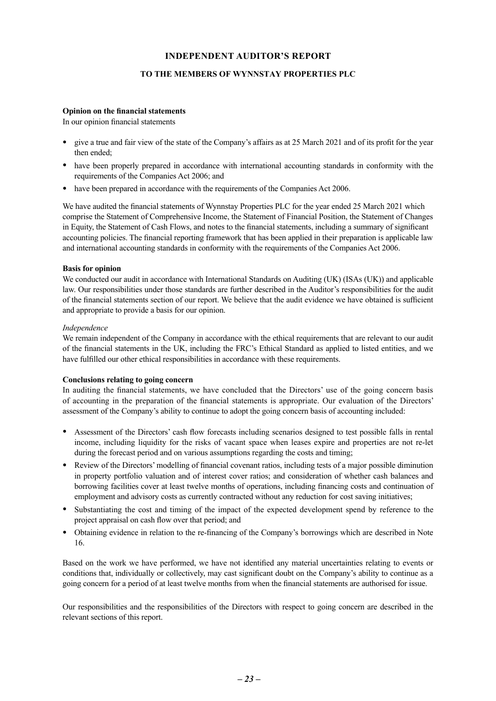#### **TO THE MEMBERS OF WYNNSTAY PROPERTIES PLC**

#### <span id="page-23-0"></span>**Opinion on the financial statements**

In our opinion financial statements

- give a true and fair view of the state of the Company's affairs as at 25 March 2021 and of its profit for the year then ended;
- have been properly prepared in accordance with international accounting standards in conformity with the requirements of the Companies Act 2006; and
- have been prepared in accordance with the requirements of the Companies Act 2006.

We have audited the financial statements of Wynnstay Properties PLC for the year ended 25 March 2021 which comprise the Statement of Comprehensive Income, the Statement of Financial Position, the Statement of Changes in Equity, the Statement of Cash Flows, and notes to the financial statements, including a summary of significant accounting policies. The financial reporting framework that has been applied in their preparation is applicable law and international accounting standards in conformity with the requirements of the Companies Act 2006.

#### **Basis for opinion**

We conducted our audit in accordance with International Standards on Auditing (UK) (ISAs (UK)) and applicable law. Our responsibilities under those standards are further described in the Auditor's responsibilities for the audit of the financial statements section of our report. We believe that the audit evidence we have obtained is sufficient and appropriate to provide a basis for our opinion.

#### *Independence*

We remain independent of the Company in accordance with the ethical requirements that are relevant to our audit of the financial statements in the UK, including the FRC's Ethical Standard as applied to listed entities, and we have fulfilled our other ethical responsibilities in accordance with these requirements.

#### **Conclusions relating to going concern**

In auditing the financial statements, we have concluded that the Directors' use of the going concern basis of accounting in the preparation of the financial statements is appropriate. Our evaluation of the Directors' assessment of the Company's ability to continue to adopt the going concern basis of accounting included:

- Assessment of the Directors' cash flow forecasts including scenarios designed to test possible falls in rental income, including liquidity for the risks of vacant space when leases expire and properties are not re-let during the forecast period and on various assumptions regarding the costs and timing;
- Review of the Directors' modelling of financial covenant ratios, including tests of a major possible diminution in property portfolio valuation and of interest cover ratios; and consideration of whether cash balances and borrowing facilities cover at least twelve months of operations, including financing costs and continuation of employment and advisory costs as currently contracted without any reduction for cost saving initiatives;
- Substantiating the cost and timing of the impact of the expected development spend by reference to the project appraisal on cash flow over that period; and
- Obtaining evidence in relation to the re-financing of the Company's borrowings which are described in Note 16.

Based on the work we have performed, we have not identified any material uncertainties relating to events or conditions that, individually or collectively, may cast significant doubt on the Company's ability to continue as a going concern for a period of at least twelve months from when the financial statements are authorised for issue.

Our responsibilities and the responsibilities of the Directors with respect to going concern are described in the relevant sections of this report.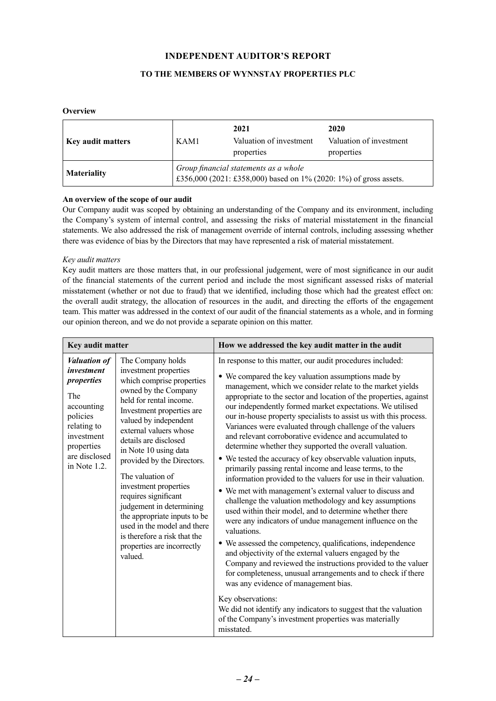#### **TO THE MEMBERS OF WYNNSTAY PROPERTIES PLC**

#### **Overview**

| <b>Key audit matters</b> | KAM1 | 2021<br>Valuation of investment<br>properties                                                              | 2020<br>Valuation of investment<br>properties |
|--------------------------|------|------------------------------------------------------------------------------------------------------------|-----------------------------------------------|
| <b>Materiality</b>       |      | Group financial statements as a whole<br>£356,000 (2021: £358,000) based on 1% (2020: 1%) of gross assets. |                                               |

#### **An overview of the scope of our audit**

Our Company audit was scoped by obtaining an understanding of the Company and its environment, including the Company's system of internal control, and assessing the risks of material misstatement in the financial statements. We also addressed the risk of management override of internal controls, including assessing whether there was evidence of bias by the Directors that may have represented a risk of material misstatement.

#### *Key audit matters*

Key audit matters are those matters that, in our professional judgement, were of most significance in our audit of the financial statements of the current period and include the most significant assessed risks of material misstatement (whether or not due to fraud) that we identified, including those which had the greatest effect on: the overall audit strategy, the allocation of resources in the audit, and directing the efforts of the engagement team. This matter was addressed in the context of our audit of the financial statements as a whole, and in forming our opinion thereon, and we do not provide a separate opinion on this matter.

| Key audit matter                                                                                                                                                                                                                            |                                                                                                                                                                                                                                                                                                                                                                                       | How we addressed the key audit matter in the audit                                                                                                                                                                                                                                                                                                                                                                                                                                                                                                                                                                                                                                                                                                                                                                                                                                                                                                                                                                                                                                                         |  |  |
|---------------------------------------------------------------------------------------------------------------------------------------------------------------------------------------------------------------------------------------------|---------------------------------------------------------------------------------------------------------------------------------------------------------------------------------------------------------------------------------------------------------------------------------------------------------------------------------------------------------------------------------------|------------------------------------------------------------------------------------------------------------------------------------------------------------------------------------------------------------------------------------------------------------------------------------------------------------------------------------------------------------------------------------------------------------------------------------------------------------------------------------------------------------------------------------------------------------------------------------------------------------------------------------------------------------------------------------------------------------------------------------------------------------------------------------------------------------------------------------------------------------------------------------------------------------------------------------------------------------------------------------------------------------------------------------------------------------------------------------------------------------|--|--|
| The Company holds<br><b>Valuation of</b><br>investment<br>investment properties<br>which comprise properties<br>properties<br>owned by the Company<br>The<br>held for rental income.<br>accounting<br>Investment properties are<br>policies | In response to this matter, our audit procedures included:<br>• We compared the key valuation assumptions made by<br>management, which we consider relate to the market yields<br>appropriate to the sector and location of the properties, against<br>our independently formed market expectations. We utilised<br>our in-house property specialists to assist us with this process. |                                                                                                                                                                                                                                                                                                                                                                                                                                                                                                                                                                                                                                                                                                                                                                                                                                                                                                                                                                                                                                                                                                            |  |  |
| relating to<br>investment<br>properties<br>are disclosed<br>in Note 1.2.                                                                                                                                                                    | valued by independent<br>external valuers whose<br>details are disclosed<br>in Note 10 using data<br>provided by the Directors.<br>The valuation of<br>investment properties<br>requires significant<br>judgement in determining<br>the appropriate inputs to be<br>used in the model and there<br>is therefore a risk that the<br>properties are incorrectly<br>valued.              | Variances were evaluated through challenge of the valuers<br>and relevant corroborative evidence and accumulated to<br>determine whether they supported the overall valuation.<br>• We tested the accuracy of key observable valuation inputs,<br>primarily passing rental income and lease terms, to the<br>information provided to the valuers for use in their valuation.<br>• We met with management's external valuer to discuss and<br>challenge the valuation methodology and key assumptions<br>used within their model, and to determine whether there<br>were any indicators of undue management influence on the<br>valuations.<br>• We assessed the competency, qualifications, independence<br>and objectivity of the external valuers engaged by the<br>Company and reviewed the instructions provided to the valuer<br>for completeness, unusual arrangements and to check if there<br>was any evidence of management bias.<br>Key observations:<br>We did not identify any indicators to suggest that the valuation<br>of the Company's investment properties was materially<br>misstated. |  |  |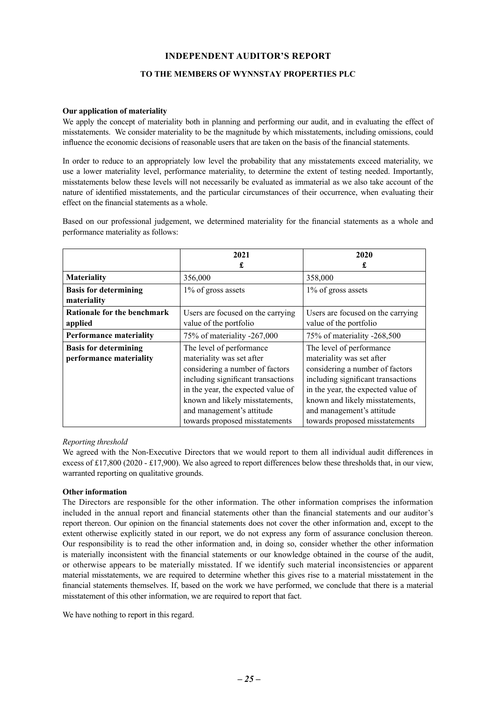#### **TO THE MEMBERS OF WYNNSTAY PROPERTIES PLC**

#### **Our application of materiality**

We apply the concept of materiality both in planning and performing our audit, and in evaluating the effect of misstatements. We consider materiality to be the magnitude by which misstatements, including omissions, could influence the economic decisions of reasonable users that are taken on the basis of the financial statements.

In order to reduce to an appropriately low level the probability that any misstatements exceed materiality, we use a lower materiality level, performance materiality, to determine the extent of testing needed. Importantly, misstatements below these levels will not necessarily be evaluated as immaterial as we also take account of the nature of identified misstatements, and the particular circumstances of their occurrence, when evaluating their effect on the financial statements as a whole.

Based on our professional judgement, we determined materiality for the financial statements as a whole and performance materiality as follows:

|                                                         | 2021                                                                                                                                                                                                                                 | 2020                                                                                                                                                                                                                                 |
|---------------------------------------------------------|--------------------------------------------------------------------------------------------------------------------------------------------------------------------------------------------------------------------------------------|--------------------------------------------------------------------------------------------------------------------------------------------------------------------------------------------------------------------------------------|
|                                                         | £                                                                                                                                                                                                                                    | £                                                                                                                                                                                                                                    |
| <b>Materiality</b>                                      | 356,000                                                                                                                                                                                                                              | 358,000                                                                                                                                                                                                                              |
| <b>Basis for determining</b><br>materiality             | 1% of gross assets                                                                                                                                                                                                                   | 1% of gross assets                                                                                                                                                                                                                   |
| Rationale for the benchmark<br>applied                  | Users are focused on the carrying<br>value of the portfolio                                                                                                                                                                          | Users are focused on the carrying<br>value of the portfolio                                                                                                                                                                          |
| <b>Performance materiality</b>                          | 75% of materiality -267,000                                                                                                                                                                                                          | 75% of materiality -268,500                                                                                                                                                                                                          |
| <b>Basis for determining</b><br>performance materiality | The level of performance<br>materiality was set after<br>considering a number of factors<br>including significant transactions<br>in the year, the expected value of<br>known and likely misstatements,<br>and management's attitude | The level of performance<br>materiality was set after<br>considering a number of factors<br>including significant transactions<br>in the year, the expected value of<br>known and likely misstatements,<br>and management's attitude |
|                                                         | towards proposed misstatements                                                                                                                                                                                                       | towards proposed misstatements                                                                                                                                                                                                       |

#### *Reporting threshold*

We agreed with the Non-Executive Directors that we would report to them all individual audit differences in excess of £17,800 (2020 - £17,900). We also agreed to report differences below these thresholds that, in our view, warranted reporting on qualitative grounds.

#### **Other information**

The Directors are responsible for the other information. The other information comprises the information included in the annual report and financial statements other than the financial statements and our auditor's report thereon. Our opinion on the financial statements does not cover the other information and, except to the extent otherwise explicitly stated in our report, we do not express any form of assurance conclusion thereon. Our responsibility is to read the other information and, in doing so, consider whether the other information is materially inconsistent with the financial statements or our knowledge obtained in the course of the audit, or otherwise appears to be materially misstated. If we identify such material inconsistencies or apparent material misstatements, we are required to determine whether this gives rise to a material misstatement in the financial statements themselves. If, based on the work we have performed, we conclude that there is a material misstatement of this other information, we are required to report that fact.

We have nothing to report in this regard.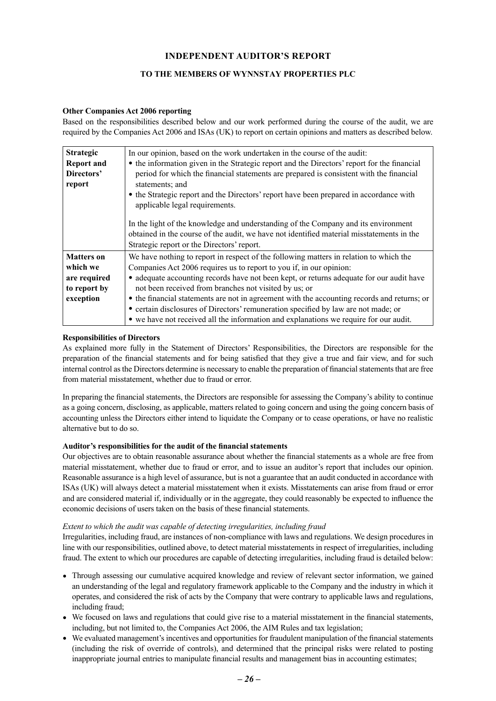#### **TO THE MEMBERS OF WYNNSTAY PROPERTIES PLC**

#### **Other Companies Act 2006 reporting**

Based on the responsibilities described below and our work performed during the course of the audit, we are required by the Companies Act 2006 and ISAs (UK) to report on certain opinions and matters as described below.

| <b>Strategic</b>  | In our opinion, based on the work undertaken in the course of the audit:                    |
|-------------------|---------------------------------------------------------------------------------------------|
| <b>Report and</b> | • the information given in the Strategic report and the Directors' report for the financial |
| Directors'        | period for which the financial statements are prepared is consistent with the financial     |
| report            | statements; and                                                                             |
|                   | • the Strategic report and the Directors' report have been prepared in accordance with      |
|                   | applicable legal requirements.                                                              |
|                   |                                                                                             |
|                   | In the light of the knowledge and understanding of the Company and its environment          |
|                   | obtained in the course of the audit, we have not identified material misstatements in the   |
|                   | Strategic report or the Directors' report.                                                  |
| <b>Matters</b> on | We have nothing to report in respect of the following matters in relation to which the      |
| which we          | Companies Act 2006 requires us to report to you if, in our opinion:                         |
| are required      | • adequate accounting records have not been kept, or returns adequate for our audit have    |
| to report by      | not been received from branches not visited by us; or                                       |
| exception         | • the financial statements are not in agreement with the accounting records and returns; or |
|                   | • certain disclosures of Directors' remuneration specified by law are not made; or          |
|                   | • we have not received all the information and explanations we require for our audit.       |

#### **Responsibilities of Directors**

As explained more fully in the Statement of Directors' Responsibilities, the Directors are responsible for the preparation of the financial statements and for being satisfied that they give a true and fair view, and for such internal control as the Directors determine is necessary to enable the preparation of financial statements that are free from material misstatement, whether due to fraud or error.

In preparing the financial statements, the Directors are responsible for assessing the Company's ability to continue as a going concern, disclosing, as applicable, matters related to going concern and using the going concern basis of accounting unless the Directors either intend to liquidate the Company or to cease operations, or have no realistic alternative but to do so.

#### **Auditor's responsibilities for the audit of the financial statements**

Our objectives are to obtain reasonable assurance about whether the financial statements as a whole are free from material misstatement, whether due to fraud or error, and to issue an auditor's report that includes our opinion. Reasonable assurance is a high level of assurance, but is not a guarantee that an audit conducted in accordance with ISAs (UK) will always detect a material misstatement when it exists. Misstatements can arise from fraud or error and are considered material if, individually or in the aggregate, they could reasonably be expected to influence the economic decisions of users taken on the basis of these financial statements.

#### *Extent to which the audit was capable of detecting irregularities, including fraud*

Irregularities, including fraud, are instances of non-compliance with laws and regulations. We design procedures in line with our responsibilities, outlined above, to detect material misstatements in respect of irregularities, including fraud. The extent to which our procedures are capable of detecting irregularities, including fraud is detailed below:

- Through assessing our cumulative acquired knowledge and review of relevant sector information, we gained an understanding of the legal and regulatory framework applicable to the Company and the industry in which it operates, and considered the risk of acts by the Company that were contrary to applicable laws and regulations, including fraud;
- We focused on laws and regulations that could give rise to a material misstatement in the financial statements, including, but not limited to, the Companies Act 2006, the AIM Rules and tax legislation;
- We evaluated management's incentives and opportunities for fraudulent manipulation of the financial statements (including the risk of override of controls), and determined that the principal risks were related to posting inappropriate journal entries to manipulate financial results and management bias in accounting estimates;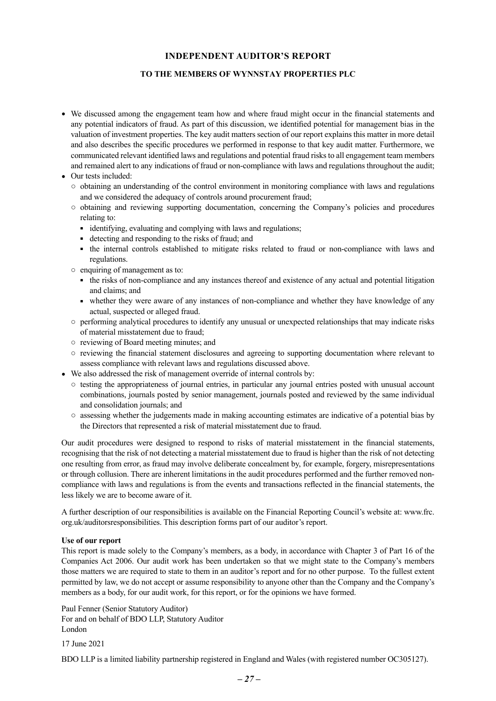#### **TO THE MEMBERS OF WYNNSTAY PROPERTIES PLC**

- We discussed among the engagement team how and where fraud might occur in the financial statements and any potential indicators of fraud. As part of this discussion, we identified potential for management bias in the valuation of investment properties. The key audit matters section of our report explains this matter in more detail and also describes the specific procedures we performed in response to that key audit matter. Furthermore, we communicated relevant identified laws and regulations and potential fraud risks to all engagement team members and remained alert to any indications of fraud or non-compliance with laws and regulations throughout the audit;
- Our tests included:
	- obtaining an understanding of the control environment in monitoring compliance with laws and regulations and we considered the adequacy of controls around procurement fraud;
	- obtaining and reviewing supporting documentation, concerning the Company's policies and procedures relating to:
		- identifying, evaluating and complying with laws and regulations;
		- detecting and responding to the risks of fraud; and
		- the internal controls established to mitigate risks related to fraud or non-compliance with laws and regulations.
	- enquiring of management as to:
		- the risks of non-compliance and any instances thereof and existence of any actual and potential litigation and claims; and
		- whether they were aware of any instances of non-compliance and whether they have knowledge of any actual, suspected or alleged fraud.
	- performing analytical procedures to identify any unusual or unexpected relationships that may indicate risks of material misstatement due to fraud;
	- reviewing of Board meeting minutes; and
	- reviewing the financial statement disclosures and agreeing to supporting documentation where relevant to assess compliance with relevant laws and regulations discussed above.
- We also addressed the risk of management override of internal controls by:
	- testing the appropriateness of journal entries, in particular any journal entries posted with unusual account combinations, journals posted by senior management, journals posted and reviewed by the same individual and consolidation journals; and
	- assessing whether the judgements made in making accounting estimates are indicative of a potential bias by the Directors that represented a risk of material misstatement due to fraud.

Our audit procedures were designed to respond to risks of material misstatement in the financial statements, recognising that the risk of not detecting a material misstatement due to fraud is higher than the risk of not detecting one resulting from error, as fraud may involve deliberate concealment by, for example, forgery, misrepresentations or through collusion. There are inherent limitations in the audit procedures performed and the further removed noncompliance with laws and regulations is from the events and transactions reflected in the financial statements, the less likely we are to become aware of it.

A further description of our responsibilities is available on the Financial Reporting Council's website at: www.frc. org.uk/auditorsresponsibilities. This description forms part of our auditor's report.

#### **Use of our report**

This report is made solely to the Company's members, as a body, in accordance with Chapter 3 of Part 16 of the Companies Act 2006. Our audit work has been undertaken so that we might state to the Company's members those matters we are required to state to them in an auditor's report and for no other purpose. To the fullest extent permitted by law, we do not accept or assume responsibility to anyone other than the Company and the Company's members as a body, for our audit work, for this report, or for the opinions we have formed.

Paul Fenner (Senior Statutory Auditor) For and on behalf of BDO LLP, Statutory Auditor London

17 June 2021

BDO LLP is a limited liability partnership registered in England and Wales (with registered number OC305127).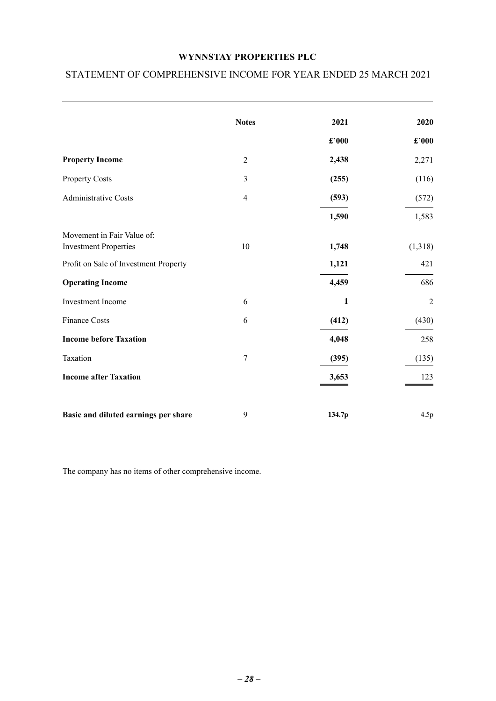## <span id="page-28-0"></span>STATEMENT OF COMPREHENSIVE INCOME FOR YEAR ENDED 25 MARCH 2021

|                                                            | <b>Notes</b>   | 2021   | 2020           |
|------------------------------------------------------------|----------------|--------|----------------|
|                                                            |                | £'000  | £'000          |
| <b>Property Income</b>                                     | $\overline{2}$ | 2,438  | 2,271          |
| <b>Property Costs</b>                                      | 3              | (255)  | (116)          |
| <b>Administrative Costs</b>                                | $\overline{4}$ | (593)  | (572)          |
|                                                            |                | 1,590  | 1,583          |
| Movement in Fair Value of:<br><b>Investment Properties</b> | 10             | 1,748  | (1,318)        |
| Profit on Sale of Investment Property                      |                | 1,121  | 421            |
| <b>Operating Income</b>                                    |                | 4,459  | 686            |
| Investment Income                                          | 6              | 1      | $\overline{2}$ |
| <b>Finance Costs</b>                                       | 6              | (412)  | (430)          |
| <b>Income before Taxation</b>                              |                | 4,048  | 258            |
| Taxation                                                   | 7              | (395)  | (135)          |
| <b>Income after Taxation</b>                               |                | 3,653  | 123            |
| Basic and diluted earnings per share                       | 9              | 134.7p | 4.5p           |

The company has no items of other comprehensive income.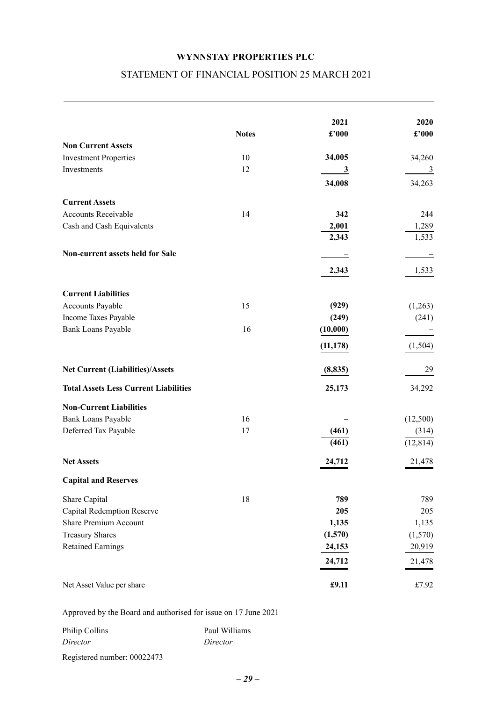## STATEMENT OF FINANCIAL POSITION 25 MARCH 2021

<span id="page-29-0"></span>

| 2021<br>£'000<br><b>Notes</b><br><b>Non Current Assets</b><br>34,005<br><b>Investment Properties</b><br>10<br>12<br>Investments<br>$\overline{\mathbf{3}}$<br>34,008<br><b>Current Assets</b><br><b>Accounts Receivable</b><br>14<br>342<br>Cash and Cash Equivalents<br>2,001<br>2,343 | 2020<br>$\pmb{\pounds}^{\prime}000$ |
|-----------------------------------------------------------------------------------------------------------------------------------------------------------------------------------------------------------------------------------------------------------------------------------------|-------------------------------------|
|                                                                                                                                                                                                                                                                                         |                                     |
|                                                                                                                                                                                                                                                                                         |                                     |
|                                                                                                                                                                                                                                                                                         | 34,260                              |
|                                                                                                                                                                                                                                                                                         | $\frac{3}{2}$                       |
|                                                                                                                                                                                                                                                                                         | 34,263                              |
|                                                                                                                                                                                                                                                                                         |                                     |
|                                                                                                                                                                                                                                                                                         |                                     |
|                                                                                                                                                                                                                                                                                         | 244                                 |
|                                                                                                                                                                                                                                                                                         | 1,289                               |
|                                                                                                                                                                                                                                                                                         | 1,533                               |
| Non-current assets held for Sale                                                                                                                                                                                                                                                        |                                     |
| 2,343                                                                                                                                                                                                                                                                                   |                                     |
|                                                                                                                                                                                                                                                                                         | 1,533                               |
| <b>Current Liabilities</b>                                                                                                                                                                                                                                                              |                                     |
| 15<br>Accounts Payable<br>(929)                                                                                                                                                                                                                                                         | (1,263)                             |
| Income Taxes Payable<br>(249)                                                                                                                                                                                                                                                           | (241)                               |
| 16<br>Bank Loans Payable<br>(10,000)                                                                                                                                                                                                                                                    |                                     |
|                                                                                                                                                                                                                                                                                         |                                     |
| (11, 178)                                                                                                                                                                                                                                                                               | (1,504)                             |
| <b>Net Current (Liabilities)/Assets</b><br>(8, 835)                                                                                                                                                                                                                                     | 29                                  |
| <b>Total Assets Less Current Liabilities</b><br>25,173                                                                                                                                                                                                                                  | 34,292                              |
| <b>Non-Current Liabilities</b>                                                                                                                                                                                                                                                          |                                     |
| 16<br>Bank Loans Payable                                                                                                                                                                                                                                                                | (12,500)                            |
| Deferred Tax Payable<br>17<br>(461)                                                                                                                                                                                                                                                     | (314)                               |
| (461)                                                                                                                                                                                                                                                                                   | (12, 814)                           |
| <b>Net Assets</b><br>24,712                                                                                                                                                                                                                                                             | 21,478                              |
| <b>Capital and Reserves</b>                                                                                                                                                                                                                                                             |                                     |
| 789<br>Share Capital<br>18                                                                                                                                                                                                                                                              | 789                                 |
| <b>Capital Redemption Reserve</b><br>205                                                                                                                                                                                                                                                | 205                                 |
| <b>Share Premium Account</b><br>1,135                                                                                                                                                                                                                                                   | 1,135                               |
| <b>Treasury Shares</b><br>(1,570)                                                                                                                                                                                                                                                       | (1,570)                             |
| <b>Retained Earnings</b><br>24,153                                                                                                                                                                                                                                                      | 20,919                              |
| 24,712                                                                                                                                                                                                                                                                                  | 21,478                              |
|                                                                                                                                                                                                                                                                                         |                                     |
| £9.11<br>Net Asset Value per share                                                                                                                                                                                                                                                      | £7.92                               |

Approved by the Board and authorised for issue on 17 June 2021

| Philip Collins | Paul Williams |
|----------------|---------------|
| Director       | Director      |

Registered number: 00022473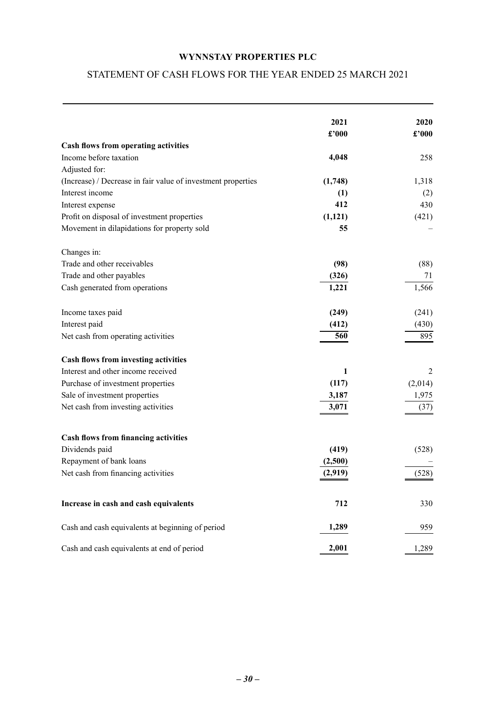## <span id="page-30-0"></span>STATEMENT OF CASH FLOWS FOR THE YEAR ENDED 25 MARCH 2021

|                                                              | 2021<br>£'000 | 2020<br>£'000 |
|--------------------------------------------------------------|---------------|---------------|
| Cash flows from operating activities                         |               |               |
| Income before taxation                                       | 4,048         | 258           |
| Adjusted for:                                                |               |               |
| (Increase) / Decrease in fair value of investment properties | (1,748)       | 1,318         |
| Interest income                                              | (1)           | (2)           |
| Interest expense                                             | 412           | 430           |
| Profit on disposal of investment properties                  | (1, 121)      | (421)         |
| Movement in dilapidations for property sold                  | 55            |               |
| Changes in:                                                  |               |               |
| Trade and other receivables                                  | (98)          | (88)          |
| Trade and other payables                                     | (326)         | 71            |
| Cash generated from operations                               | 1,221         | 1,566         |
| Income taxes paid                                            | (249)         | (241)         |
| Interest paid                                                | (412)         | (430)         |
| Net cash from operating activities                           | 560           | 895           |
| Cash flows from investing activities                         |               |               |
| Interest and other income received                           | 1             | 2             |
| Purchase of investment properties                            | (117)         | (2,014)       |
| Sale of investment properties                                | 3,187         | 1,975         |
| Net cash from investing activities                           | 3,071         | (37)          |
| <b>Cash flows from financing activities</b>                  |               |               |
| Dividends paid                                               | (419)         | (528)         |
| Repayment of bank loans                                      | (2,500)       |               |
| Net cash from financing activities                           | (2,919)       | (528)         |
|                                                              |               |               |
| Increase in cash and cash equivalents                        | 712           | 330           |
| Cash and cash equivalents at beginning of period             | 1,289         | 959           |
| Cash and cash equivalents at end of period                   | 2,001         | 1,289         |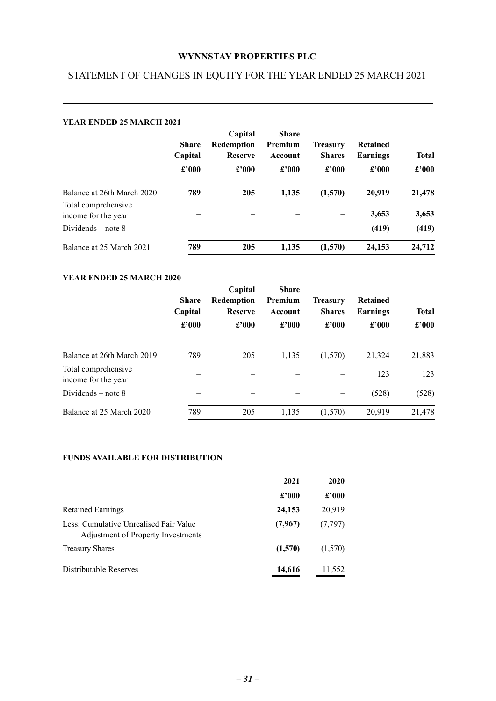## <span id="page-31-0"></span>STATEMENT OF CHANGES IN EQUITY FOR THE YEAR ENDED 25 MARCH 2021

| <b>YEAR ENDED 25 MARCH 2021</b>            |                                  |                                                         |                                             |                                           |                                               |                                |
|--------------------------------------------|----------------------------------|---------------------------------------------------------|---------------------------------------------|-------------------------------------------|-----------------------------------------------|--------------------------------|
|                                            | <b>Share</b><br>Capital<br>£'000 | Capital<br><b>Redemption</b><br><b>Reserve</b><br>£'000 | <b>Share</b><br>Premium<br>Account<br>£'000 | <b>Treasury</b><br><b>Shares</b><br>£'000 | <b>Retained</b><br>Earnings<br>$\pounds$ '000 | <b>Total</b><br>$\pounds$ '000 |
| Balance at 26th March 2020                 | 789                              | 205                                                     | 1,135                                       | (1,570)                                   | 20,919                                        | 21,478                         |
| Total comprehensive<br>income for the year |                                  |                                                         |                                             |                                           | 3,653                                         | 3,653                          |
| Dividends $-$ note 8                       |                                  |                                                         |                                             |                                           | (419)                                         | (419)                          |
| Balance at 25 March 2021                   | 789                              | 205                                                     | 1.135                                       | (1,570)                                   | 24,153                                        | 24,712                         |

### **YEAR ENDED 25 MARCH 2020**

|                                            | <b>Share</b><br>Capital<br>$\pounds$ '000 | Capital<br>Redemption<br><b>Reserve</b><br>£'000 | <b>Share</b><br>Premium<br>Account<br>£'000 | <b>Treasury</b><br><b>Shares</b><br>£'000 | <b>Retained</b><br><b>Earnings</b><br>£'000 | <b>Total</b><br>£'000 |
|--------------------------------------------|-------------------------------------------|--------------------------------------------------|---------------------------------------------|-------------------------------------------|---------------------------------------------|-----------------------|
| Balance at 26th March 2019                 | 789                                       | 205                                              | 1,135                                       | (1,570)                                   | 21,324                                      | 21,883                |
| Total comprehensive<br>income for the year |                                           |                                                  |                                             |                                           | 123                                         | 123                   |
| Dividends $-$ note 8                       |                                           |                                                  |                                             |                                           | (528)                                       | (528)                 |
| Balance at 25 March 2020                   | 789                                       | 205                                              | 1,135                                       | (1,570)                                   | 20,919                                      | 21,478                |

## **FUNDS AVAILABLE FOR DISTRIBUTION**

|                                                                              | 2021          | 2020          |
|------------------------------------------------------------------------------|---------------|---------------|
|                                                                              | $\pounds 000$ | $\pounds 000$ |
| <b>Retained Earnings</b>                                                     | 24,153        | 20,919        |
| Less: Cumulative Unrealised Fair Value<br>Adjustment of Property Investments | (7, 967)      | (7, 797)      |
| <b>Treasury Shares</b>                                                       | (1,570)       | (1,570)       |
| Distributable Reserves                                                       | 14,616        | 11,552        |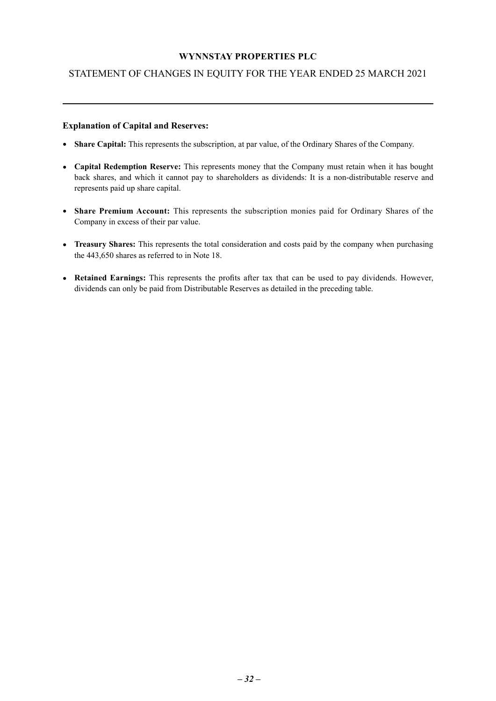## STATEMENT OF CHANGES IN EQUITY FOR THE YEAR ENDED 25 MARCH 2021

#### **Explanation of Capital and Reserves:**

- **Share Capital:** This represents the subscription, at par value, of the Ordinary Shares of the Company.
- **Capital Redemption Reserve:** This represents money that the Company must retain when it has bought back shares, and which it cannot pay to shareholders as dividends: It is a non-distributable reserve and represents paid up share capital.
- **Share Premium Account:** This represents the subscription monies paid for Ordinary Shares of the Company in excess of their par value.
- **Treasury Shares:** This represents the total consideration and costs paid by the company when purchasing the 443,650 shares as referred to in Note 18.
- **Retained Earnings:** This represents the profits after tax that can be used to pay dividends. However, dividends can only be paid from Distributable Reserves as detailed in the preceding table.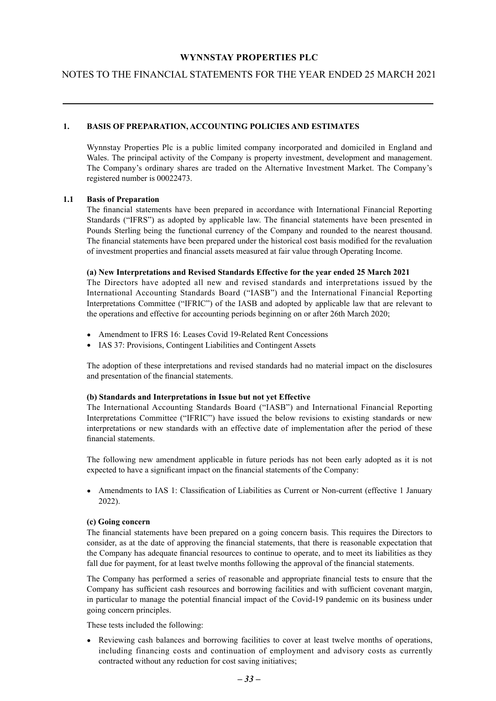## <span id="page-33-0"></span>NOTES TO THE FINANCIAL STATEMENTS FOR THE YEAR ENDED 25 MARCH 2021

#### **1. BASIS OF PREPARATION, ACCOUNTING POLICIES AND ESTIMATES**

Wynnstay Properties Plc is a public limited company incorporated and domiciled in England and Wales. The principal activity of the Company is property investment, development and management. The Company's ordinary shares are traded on the Alternative Investment Market. The Company's registered number is 00022473.

#### **1.1 Basis of Preparation**

The financial statements have been prepared in accordance with International Financial Reporting Standards ("IFRS") as adopted by applicable law. The financial statements have been presented in Pounds Sterling being the functional currency of the Company and rounded to the nearest thousand. The financial statements have been prepared under the historical cost basis modified for the revaluation of investment properties and financial assets measured at fair value through Operating Income.

#### **(a) New Interpretations and Revised Standards Effective for the year ended 25 March 2021**

The Directors have adopted all new and revised standards and interpretations issued by the International Accounting Standards Board ("IASB") and the International Financial Reporting Interpretations Committee ("IFRIC") of the IASB and adopted by applicable law that are relevant to the operations and effective for accounting periods beginning on or after 26th March 2020;

- Amendment to IFRS 16: Leases Covid 19-Related Rent Concessions
- IAS 37: Provisions, Contingent Liabilities and Contingent Assets

The adoption of these interpretations and revised standards had no material impact on the disclosures and presentation of the financial statements.

#### **(b) Standards and Interpretations in Issue but not yet Effective**

The International Accounting Standards Board ("IASB") and International Financial Reporting Interpretations Committee ("IFRIC") have issued the below revisions to existing standards or new interpretations or new standards with an effective date of implementation after the period of these financial statements.

The following new amendment applicable in future periods has not been early adopted as it is not expected to have a significant impact on the financial statements of the Company:

• Amendments to IAS 1: Classification of Liabilities as Current or Non-current (effective 1 January 2022).

#### **(c) Going concern**

The financial statements have been prepared on a going concern basis. This requires the Directors to consider, as at the date of approving the financial statements, that there is reasonable expectation that the Company has adequate financial resources to continue to operate, and to meet its liabilities as they fall due for payment, for at least twelve months following the approval of the financial statements.

The Company has performed a series of reasonable and appropriate financial tests to ensure that the Company has sufficient cash resources and borrowing facilities and with sufficient covenant margin, in particular to manage the potential financial impact of the Covid-19 pandemic on its business under going concern principles.

These tests included the following:

• Reviewing cash balances and borrowing facilities to cover at least twelve months of operations, including financing costs and continuation of employment and advisory costs as currently contracted without any reduction for cost saving initiatives;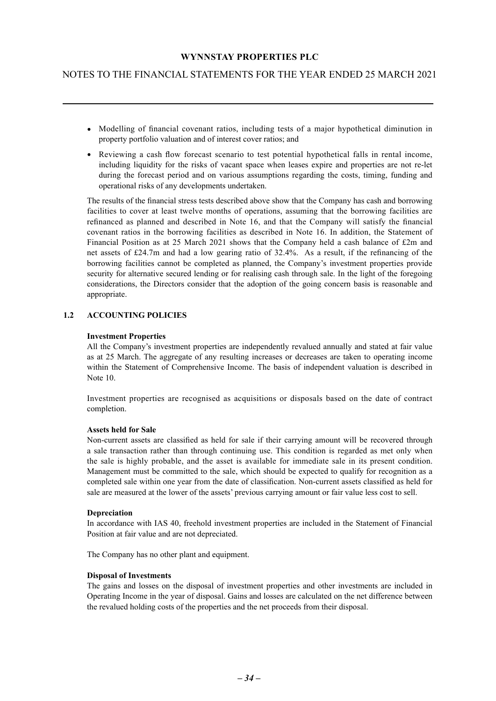## NOTES TO THE FINANCIAL STATEMENTS FOR THE YEAR ENDED 25 MARCH 2021

- Modelling of financial covenant ratios, including tests of a major hypothetical diminution in property portfolio valuation and of interest cover ratios; and
- Reviewing a cash flow forecast scenario to test potential hypothetical falls in rental income, including liquidity for the risks of vacant space when leases expire and properties are not re-let during the forecast period and on various assumptions regarding the costs, timing, funding and operational risks of any developments undertaken.

The results of the financial stress tests described above show that the Company has cash and borrowing facilities to cover at least twelve months of operations, assuming that the borrowing facilities are refinanced as planned and described in Note 16, and that the Company will satisfy the financial covenant ratios in the borrowing facilities as described in Note 16. In addition, the Statement of Financial Position as at 25 March 2021 shows that the Company held a cash balance of £2m and net assets of £24.7m and had a low gearing ratio of 32.4%. As a result, if the refinancing of the borrowing facilities cannot be completed as planned, the Company's investment properties provide security for alternative secured lending or for realising cash through sale. In the light of the foregoing considerations, the Directors consider that the adoption of the going concern basis is reasonable and appropriate.

#### **1.2 ACCOUNTING POLICIES**

#### **Investment Properties**

All the Company's investment properties are independently revalued annually and stated at fair value as at 25 March. The aggregate of any resulting increases or decreases are taken to operating income within the Statement of Comprehensive Income. The basis of independent valuation is described in Note 10.

Investment properties are recognised as acquisitions or disposals based on the date of contract completion.

#### **Assets held for Sale**

Non-current assets are classified as held for sale if their carrying amount will be recovered through a sale transaction rather than through continuing use. This condition is regarded as met only when the sale is highly probable, and the asset is available for immediate sale in its present condition. Management must be committed to the sale, which should be expected to qualify for recognition as a completed sale within one year from the date of classification. Non-current assets classified as held for sale are measured at the lower of the assets' previous carrying amount or fair value less cost to sell.

#### **Depreciation**

In accordance with IAS 40, freehold investment properties are included in the Statement of Financial Position at fair value and are not depreciated.

The Company has no other plant and equipment.

#### **Disposal of Investments**

The gains and losses on the disposal of investment properties and other investments are included in Operating Income in the year of disposal. Gains and losses are calculated on the net difference between the revalued holding costs of the properties and the net proceeds from their disposal.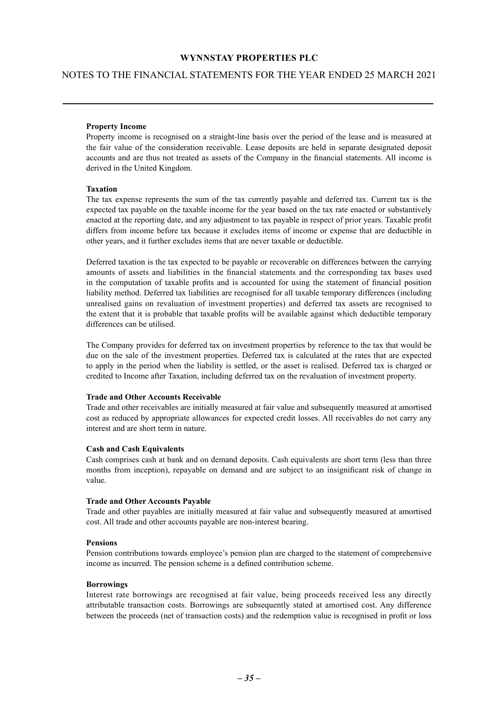#### NOTES TO THE FINANCIAL STATEMENTS FOR THE YEAR ENDED 25 MARCH 2021

#### **Property Income**

Property income is recognised on a straight-line basis over the period of the lease and is measured at the fair value of the consideration receivable. Lease deposits are held in separate designated deposit accounts and are thus not treated as assets of the Company in the financial statements. All income is derived in the United Kingdom.

#### **Taxation**

The tax expense represents the sum of the tax currently payable and deferred tax. Current tax is the expected tax payable on the taxable income for the year based on the tax rate enacted or substantively enacted at the reporting date, and any adjustment to tax payable in respect of prior years. Taxable profit differs from income before tax because it excludes items of income or expense that are deductible in other years, and it further excludes items that are never taxable or deductible.

Deferred taxation is the tax expected to be payable or recoverable on differences between the carrying amounts of assets and liabilities in the financial statements and the corresponding tax bases used in the computation of taxable profits and is accounted for using the statement of financial position liability method. Deferred tax liabilities are recognised for all taxable temporary differences (including unrealised gains on revaluation of investment properties) and deferred tax assets are recognised to the extent that it is probable that taxable profits will be available against which deductible temporary differences can be utilised.

The Company provides for deferred tax on investment properties by reference to the tax that would be due on the sale of the investment properties. Deferred tax is calculated at the rates that are expected to apply in the period when the liability is settled, or the asset is realised. Deferred tax is charged or credited to Income after Taxation, including deferred tax on the revaluation of investment property.

#### **Trade and Other Accounts Receivable**

Trade and other receivables are initially measured at fair value and subsequently measured at amortised cost as reduced by appropriate allowances for expected credit losses. All receivables do not carry any interest and are short term in nature.

#### **Cash and Cash Equivalents**

Cash comprises cash at bank and on demand deposits. Cash equivalents are short term (less than three months from inception), repayable on demand and are subject to an insignificant risk of change in value.

#### **Trade and Other Accounts Payable**

Trade and other payables are initially measured at fair value and subsequently measured at amortised cost. All trade and other accounts payable are non-interest bearing.

#### **Pensions**

Pension contributions towards employee's pension plan are charged to the statement of comprehensive income as incurred. The pension scheme is a defined contribution scheme.

#### **Borrowings**

Interest rate borrowings are recognised at fair value, being proceeds received less any directly attributable transaction costs. Borrowings are subsequently stated at amortised cost. Any difference between the proceeds (net of transaction costs) and the redemption value is recognised in profit or loss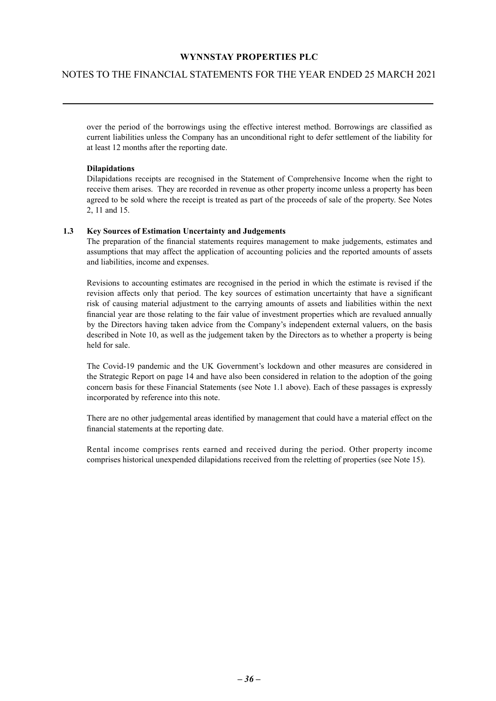## NOTES TO THE FINANCIAL STATEMENTS FOR THE YEAR ENDED 25 MARCH 2021

over the period of the borrowings using the effective interest method. Borrowings are classified as current liabilities unless the Company has an unconditional right to defer settlement of the liability for at least 12 months after the reporting date.

#### **Dilapidations**

Dilapidations receipts are recognised in the Statement of Comprehensive Income when the right to receive them arises. They are recorded in revenue as other property income unless a property has been agreed to be sold where the receipt is treated as part of the proceeds of sale of the property. See Notes 2, 11 and 15.

#### **1.3 Key Sources of Estimation Uncertainty and Judgements**

The preparation of the financial statements requires management to make judgements, estimates and assumptions that may affect the application of accounting policies and the reported amounts of assets and liabilities, income and expenses.

Revisions to accounting estimates are recognised in the period in which the estimate is revised if the revision affects only that period. The key sources of estimation uncertainty that have a significant risk of causing material adjustment to the carrying amounts of assets and liabilities within the next financial year are those relating to the fair value of investment properties which are revalued annually by the Directors having taken advice from the Company's independent external valuers, on the basis described in Note 10, as well as the judgement taken by the Directors as to whether a property is being held for sale.

The Covid-19 pandemic and the UK Government's lockdown and other measures are considered in the Strategic Report on page 14 and have also been considered in relation to the adoption of the going concern basis for these Financial Statements (see Note 1.1 above). Each of these passages is expressly incorporated by reference into this note.

There are no other judgemental areas identified by management that could have a material effect on the financial statements at the reporting date.

Rental income comprises rents earned and received during the period. Other property income comprises historical unexpended dilapidations received from the reletting of properties (see Note 15).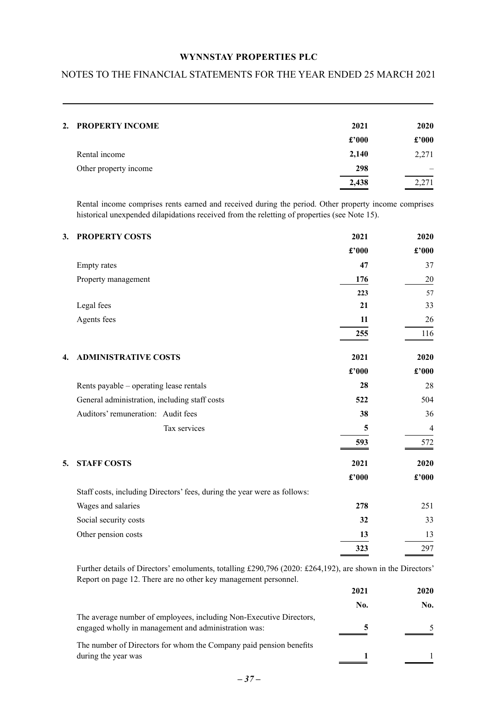## NOTES TO THE FINANCIAL STATEMENTS FOR THE YEAR ENDED 25 MARCH 2021

| 2. PROPERTY INCOME    | 2021           | <b>2020</b>    |
|-----------------------|----------------|----------------|
|                       | $\pounds$ '000 | $\pounds$ '000 |
| Rental income         | 2,140          | 2,271          |
| Other property income | 298            |                |
|                       | 2,438          | 2,271          |
|                       |                |                |

Rental income comprises rents earned and received during the period. Other property income comprises historical unexpended dilapidations received from the reletting of properties (see Note 15).

| 3. | <b>PROPERTY COSTS</b>                                                    | 2021  | 2020                        |
|----|--------------------------------------------------------------------------|-------|-----------------------------|
|    |                                                                          | £'000 | $\pmb{\pounds}^{\prime}000$ |
|    | <b>Empty</b> rates                                                       | 47    | 37                          |
|    | Property management                                                      | 176   | 20                          |
|    |                                                                          | 223   | 57                          |
|    | Legal fees                                                               | 21    | 33                          |
|    | Agents fees                                                              | 11    | 26                          |
|    |                                                                          | 255   | 116                         |
| 4. | <b>ADMINISTRATIVE COSTS</b>                                              | 2021  | 2020                        |
|    |                                                                          | £'000 | £'000                       |
|    | Rents payable – operating lease rentals                                  | 28    | 28                          |
|    | General administration, including staff costs                            | 522   | 504                         |
|    | Auditors' remuneration: Audit fees                                       | 38    | 36                          |
|    | Tax services                                                             | 5     | $\overline{4}$              |
|    |                                                                          | 593   | 572                         |
| 5. | <b>STAFF COSTS</b>                                                       | 2021  | 2020                        |
|    |                                                                          | £'000 | $\pounds$ '000              |
|    | Staff costs, including Directors' fees, during the year were as follows: |       |                             |
|    | Wages and salaries                                                       | 278   | 251                         |
|    | Social security costs                                                    | 32    | 33                          |
|    | Other pension costs                                                      | 13    | 13                          |
|    |                                                                          | 323   | 297                         |

Further details of Directors' emoluments, totalling £290,796 (2020: £264,192), are shown in the Directors' Report on page 12. There are no other key management personnel.

|                                                                                                                             | 2021 | 2020 |
|-----------------------------------------------------------------------------------------------------------------------------|------|------|
|                                                                                                                             | No.  | No.  |
| The average number of employees, including Non-Executive Directors,<br>engaged wholly in management and administration was: |      |      |
| The number of Directors for whom the Company paid pension benefits                                                          |      |      |
| during the year was                                                                                                         |      |      |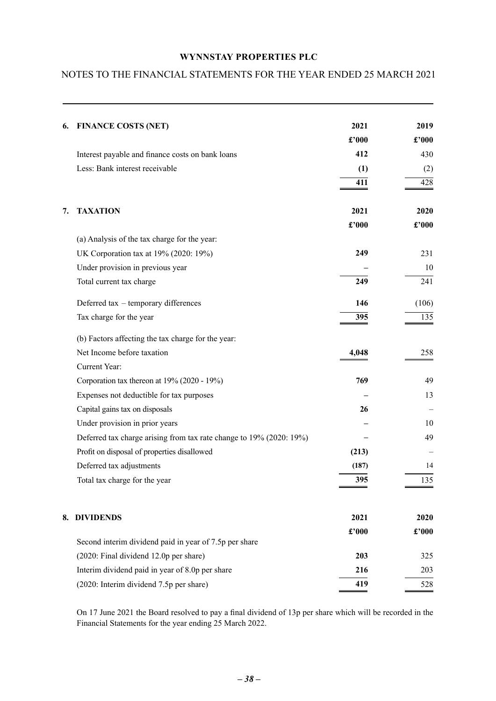## NOTES TO THE FINANCIAL STATEMENTS FOR THE YEAR ENDED 25 MARCH 2021

| 6. | <b>FINANCE COSTS (NET)</b>                                          | 2021  | 2019  |
|----|---------------------------------------------------------------------|-------|-------|
|    |                                                                     | £'000 | £'000 |
|    | Interest payable and finance costs on bank loans                    | 412   | 430   |
|    | Less: Bank interest receivable                                      | (1)   | (2)   |
|    |                                                                     | 411   | 428   |
| 7. | <b>TAXATION</b>                                                     | 2021  | 2020  |
|    |                                                                     | £'000 | £'000 |
|    | (a) Analysis of the tax charge for the year:                        |       |       |
|    | UK Corporation tax at 19% (2020: 19%)                               | 249   | 231   |
|    | Under provision in previous year                                    |       | 10    |
|    | Total current tax charge                                            | 249   | 241   |
|    | Deferred tax - temporary differences                                | 146   | (106) |
|    | Tax charge for the year                                             | 395   | 135   |
|    | (b) Factors affecting the tax charge for the year:                  |       |       |
|    | Net Income before taxation                                          | 4,048 | 258   |
|    | Current Year:                                                       |       |       |
|    | Corporation tax thereon at 19% (2020 - 19%)                         | 769   | 49    |
|    | Expenses not deductible for tax purposes                            |       | 13    |
|    | Capital gains tax on disposals                                      | 26    |       |
|    | Under provision in prior years                                      |       | 10    |
|    | Deferred tax charge arising from tax rate change to 19% (2020: 19%) |       | 49    |
|    | Profit on disposal of properties disallowed                         | (213) |       |
|    | Deferred tax adjustments                                            | (187) | 14    |
|    | Total tax charge for the year                                       | 395   | 135   |
|    |                                                                     |       |       |
|    | 8. DIVIDENDS                                                        | 2021  | 2020  |
|    | Second interim dividend paid in year of 7.5p per share              | £'000 | £'000 |
|    | (2020: Final dividend 12.0p per share)                              | 203   | 325   |
|    | Interim dividend paid in year of 8.0p per share                     | 216   | 203   |
|    | (2020: Interim dividend 7.5p per share)                             | 419   | 528   |

On 17 June 2021 the Board resolved to pay a final dividend of 13p per share which will be recorded in the Financial Statements for the year ending 25 March 2022.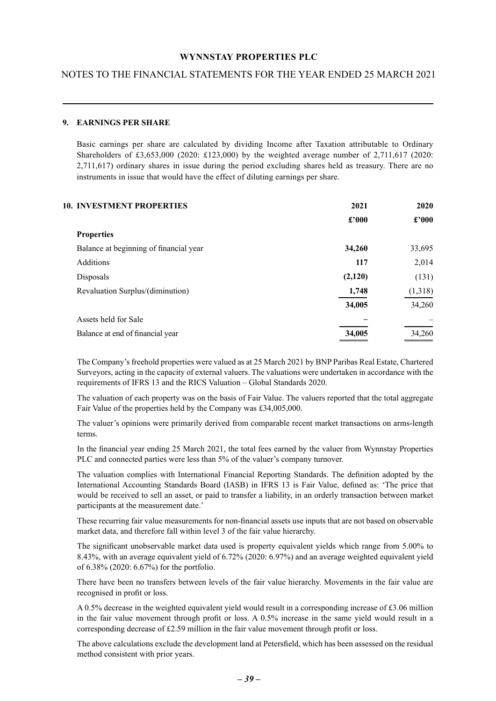## NOTES TO THE FINANCIAL STATEMENTS FOR THE YEAR ENDED 25 MARCH 2021

#### **9. EARNINGS PER SHARE**

Basic earnings per share are calculated by dividing Income after Taxation attributable to Ordinary Shareholders of £3,653,000 (2020: £123,000) by the weighted average number of 2,711,617 (2020: 2,711,617) ordinary shares in issue during the period excluding shares held as treasury. There are no instruments in issue that would have the effect of diluting earnings per share.

| <b>10. INVESTMENT PROPERTIES</b>       | 2021    | 2020           |
|----------------------------------------|---------|----------------|
|                                        | £'000   | $\pounds$ '000 |
| <b>Properties</b>                      |         |                |
| Balance at beginning of financial year | 34,260  | 33,695         |
| <b>Additions</b>                       | 117     | 2,014          |
| Disposals                              | (2,120) | (131)          |
| Revaluation Surplus/(diminution)       | 1,748   | (1,318)        |
|                                        | 34,005  | 34,260         |
| Assets held for Sale                   |         |                |
| Balance at end of financial year       | 34,005  | 34,260         |

The Company's freehold properties were valued as at 25 March 2021 by BNP Paribas Real Estate, Chartered Surveyors, acting in the capacity of external valuers. The valuations were undertaken in accordance with the requirements of IFRS 13 and the RICS Valuation – Global Standards 2020.

The valuation of each property was on the basis of Fair Value. The valuers reported that the total aggregate Fair Value of the properties held by the Company was £34,005,000.

The valuer's opinions were primarily derived from comparable recent market transactions on arms-length terms.

In the financial year ending 25 March 2021, the total fees earned by the valuer from Wynnstay Properties PLC and connected parties were less than 5% of the valuer's company turnover.

The valuation complies with International Financial Reporting Standards. The definition adopted by the International Accounting Standards Board (IASB) in IFRS 13 is Fair Value, defined as: 'The price that would be received to sell an asset, or paid to transfer a liability, in an orderly transaction between market participants at the measurement date.'

These recurring fair value measurements for non-financial assets use inputs that are not based on observable market data, and therefore fall within level 3 of the fair value hierarchy.

The significant unobservable market data used is property equivalent yields which range from 5.00% to 8.43%, with an average equivalent yield of 6.72% (2020: 6.97%) and an average weighted equivalent yield of 6.38% (2020: 6.67%) for the portfolio.

There have been no transfers between levels of the fair value hierarchy. Movements in the fair value are recognised in profit or loss.

A 0.5% decrease in the weighted equivalent yield would result in a corresponding increase of £3.06 million in the fair value movement through profit or loss. A 0.5% increase in the same yield would result in a corresponding decrease of £2.59 million in the fair value movement through profit or loss.

The above calculations exclude the development land at Petersfield, which has been assessed on the residual method consistent with prior years.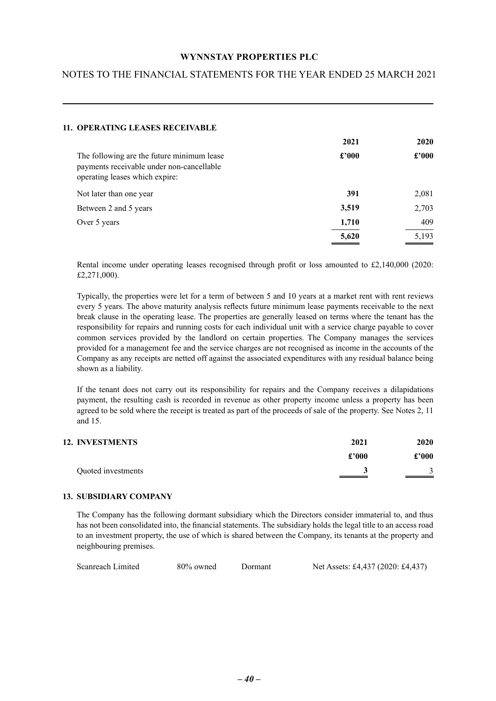## NOTES TO THE FINANCIAL STATEMENTS FOR THE YEAR ENDED 25 MARCH 2021

| <b>11. OPERATING LEASES RECEIVABLE</b>                                                                                    |       |       |
|---------------------------------------------------------------------------------------------------------------------------|-------|-------|
|                                                                                                                           | 2021  | 2020  |
| The following are the future minimum lease<br>payments receivable under non-cancellable<br>operating leases which expire: | £2000 | £2000 |
| Not later than one year                                                                                                   | 391   | 2,081 |
| Between 2 and 5 years                                                                                                     | 3,519 | 2,703 |
| Over 5 years                                                                                                              | 1,710 | 409   |
|                                                                                                                           | 5,620 | 5,193 |

Rental income under operating leases recognised through profit or loss amounted to £2,140,000 (2020: £2,271,000).

Typically, the properties were let for a term of between 5 and 10 years at a market rent with rent reviews every 5 years. The above maturity analysis reflects future minimum lease payments receivable to the next break clause in the operating lease. The properties are generally leased on terms where the tenant has the responsibility for repairs and running costs for each individual unit with a service charge payable to cover common services provided by the landlord on certain properties. The Company manages the services provided for a management fee and the service charges are not recognised as income in the accounts of the Company as any receipts are netted off against the associated expenditures with any residual balance being shown as a liability.

If the tenant does not carry out its responsibility for repairs and the Company receives a dilapidations payment, the resulting cash is recorded in revenue as other property income unless a property has been agreed to be sold where the receipt is treated as part of the proceeds of sale of the property. See Notes 2, 11 and 15.

| <b>12. INVESTMENTS</b> | 2021  | <b>2020</b>   |
|------------------------|-------|---------------|
|                        | £'000 | $\pounds 000$ |
| Quoted investments     |       |               |

#### **13. SUBSIDIARY COMPANY**

The Company has the following dormant subsidiary which the Directors consider immaterial to, and thus has not been consolidated into, the financial statements. The subsidiary holds the legal title to an access road to an investment property, the use of which is shared between the Company, its tenants at the property and neighbouring premises.

| Scanreach Limited<br>$80\%$ owned<br>Dormant | Net Assets: £4,437 (2020: £4,437) |
|----------------------------------------------|-----------------------------------|
|----------------------------------------------|-----------------------------------|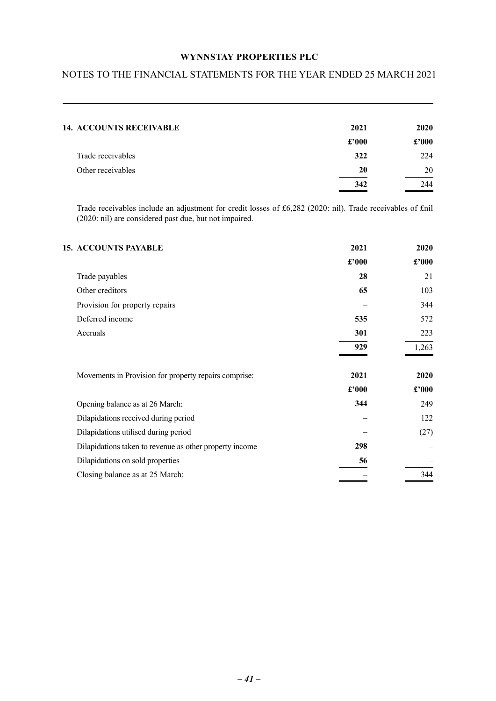## NOTES TO THE FINANCIAL STATEMENTS FOR THE YEAR ENDED 25 MARCH 2021

| <b>14. ACCOUNTS RECEIVABLE</b> | 2021  | <b>2020</b>    |
|--------------------------------|-------|----------------|
|                                | £'000 | $\pounds$ '000 |
| Trade receivables              | 322   | 224            |
| Other receivables              | 20    | 20             |
|                                | 342   | 244            |

Trade receivables include an adjustment for credit losses of £6,282 (2020: nil). Trade receivables of £nil (2020: nil) are considered past due, but not impaired.

| <b>15. ACCOUNTS PAYABLE</b>                             | 2021           | 2020  |
|---------------------------------------------------------|----------------|-------|
|                                                         | $\pounds$ '000 | £'000 |
| Trade payables                                          | 28             | 21    |
| Other creditors                                         | 65             | 103   |
| Provision for property repairs                          |                | 344   |
| Deferred income                                         | 535            | 572   |
| Accruals                                                | 301            | 223   |
|                                                         | 929            | 1,263 |
| Movements in Provision for property repairs comprise:   | 2021           | 2020  |
|                                                         | £'000          | £'000 |
| Opening balance as at 26 March:                         | 344            | 249   |
| Dilapidations received during period                    |                | 122   |
| Dilapidations utilised during period                    |                | (27)  |
| Dilapidations taken to revenue as other property income | 298            |       |
| Dilapidations on sold properties                        | 56             |       |
| Closing balance as at 25 March:                         |                | 344   |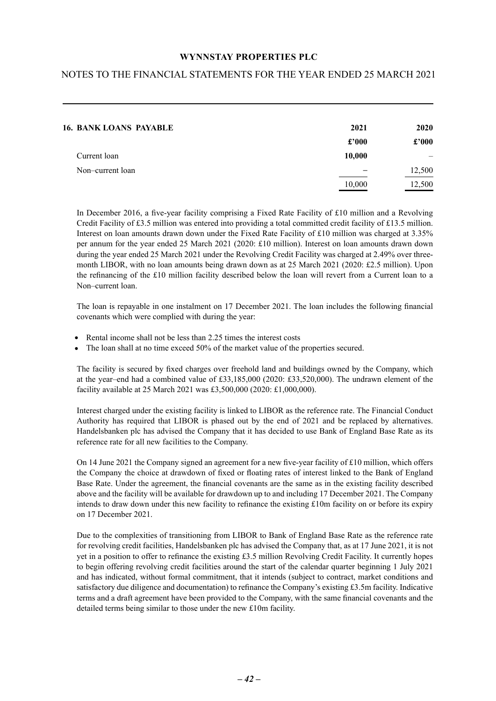## NOTES TO THE FINANCIAL STATEMENTS FOR THE YEAR ENDED 25 MARCH 2021

| <b>16. BANK LOANS PAYABLE</b> | 2021   | <b>2020</b>    |
|-------------------------------|--------|----------------|
|                               | £'000  | $\pounds$ '000 |
| Current loan                  | 10,000 |                |
| Non-current loan              |        | 12,500         |
|                               | 10,000 | 12,500         |

In December 2016, a five-year facility comprising a Fixed Rate Facility of £10 million and a Revolving Credit Facility of £3.5 million was entered into providing a total committed credit facility of £13.5 million. Interest on loan amounts drawn down under the Fixed Rate Facility of £10 million was charged at 3.35% per annum for the year ended 25 March 2021 (2020: £10 million). Interest on loan amounts drawn down during the year ended 25 March 2021 under the Revolving Credit Facility was charged at 2.49% over threemonth LIBOR, with no loan amounts being drawn down as at 25 March 2021 (2020: £2.5 million). Upon the refinancing of the £10 million facility described below the loan will revert from a Current loan to a Non–current loan.

The loan is repayable in one instalment on 17 December 2021. The loan includes the following financial covenants which were complied with during the year:

- Rental income shall not be less than 2.25 times the interest costs
- The loan shall at no time exceed 50% of the market value of the properties secured.

The facility is secured by fixed charges over freehold land and buildings owned by the Company, which at the year–end had a combined value of £33,185,000 (2020: £33,520,000). The undrawn element of the facility available at 25 March 2021 was £3,500,000 (2020: £1,000,000).

Interest charged under the existing facility is linked to LIBOR as the reference rate. The Financial Conduct Authority has required that LIBOR is phased out by the end of 2021 and be replaced by alternatives. Handelsbanken plc has advised the Company that it has decided to use Bank of England Base Rate as its reference rate for all new facilities to the Company.

On 14 June 2021 the Company signed an agreement for a new five-year facility of £10 million, which offers the Company the choice at drawdown of fixed or floating rates of interest linked to the Bank of England Base Rate. Under the agreement, the financial covenants are the same as in the existing facility described above and the facility will be available for drawdown up to and including 17 December 2021. The Company intends to draw down under this new facility to refinance the existing £10m facility on or before its expiry on 17 December 2021.

Due to the complexities of transitioning from LIBOR to Bank of England Base Rate as the reference rate for revolving credit facilities, Handelsbanken plc has advised the Company that, as at 17 June 2021, it is not yet in a position to offer to refinance the existing £3.5 million Revolving Credit Facility. It currently hopes to begin offering revolving credit facilities around the start of the calendar quarter beginning 1 July 2021 and has indicated, without formal commitment, that it intends (subject to contract, market conditions and satisfactory due diligence and documentation) to refinance the Company's existing £3.5m facility. Indicative terms and a draft agreement have been provided to the Company, with the same financial covenants and the detailed terms being similar to those under the new £10m facility.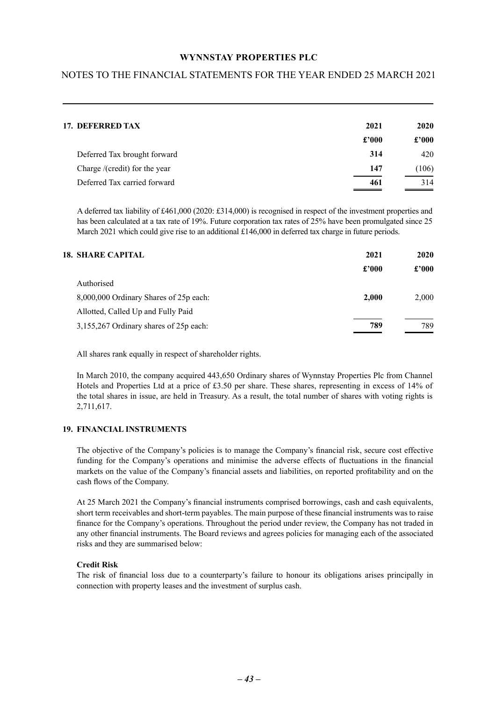## NOTES TO THE FINANCIAL STATEMENTS FOR THE YEAR ENDED 25 MARCH 2021

| 17. DEFERRED TAX              | 2021           | 2020  |
|-------------------------------|----------------|-------|
|                               | $\pounds$ '000 | £2000 |
| Deferred Tax brought forward  | 314            | 420   |
| Charge /(credit) for the year | 147            | (106) |
| Deferred Tax carried forward  | 461            | 314   |

A deferred tax liability of £461,000 (2020: £314,000) is recognised in respect of the investment properties and has been calculated at a tax rate of 19%. Future corporation tax rates of 25% have been promulgated since 25 March 2021 which could give rise to an additional £146,000 in deferred tax charge in future periods.

| <b>18. SHARE CAPITAL</b>               | 2021  | 2020  |
|----------------------------------------|-------|-------|
|                                        | £2000 | £2000 |
| Authorised                             |       |       |
| 8,000,000 Ordinary Shares of 25p each: | 2.000 | 2.000 |
| Allotted, Called Up and Fully Paid     |       |       |
| 3,155,267 Ordinary shares of 25p each: | 789   | 789   |

All shares rank equally in respect of shareholder rights.

In March 2010, the company acquired 443,650 Ordinary shares of Wynnstay Properties Plc from Channel Hotels and Properties Ltd at a price of £3.50 per share. These shares, representing in excess of 14% of the total shares in issue, are held in Treasury. As a result, the total number of shares with voting rights is 2,711,617.

#### **19. FINANCIAL INSTRUMENTS**

The objective of the Company's policies is to manage the Company's financial risk, secure cost effective funding for the Company's operations and minimise the adverse effects of fluctuations in the financial markets on the value of the Company's financial assets and liabilities, on reported profitability and on the cash flows of the Company.

At 25 March 2021 the Company's financial instruments comprised borrowings, cash and cash equivalents, short term receivables and short-term payables. The main purpose of these financial instruments was to raise finance for the Company's operations. Throughout the period under review, the Company has not traded in any other financial instruments. The Board reviews and agrees policies for managing each of the associated risks and they are summarised below:

#### **Credit Risk**

The risk of financial loss due to a counterparty's failure to honour its obligations arises principally in connection with property leases and the investment of surplus cash.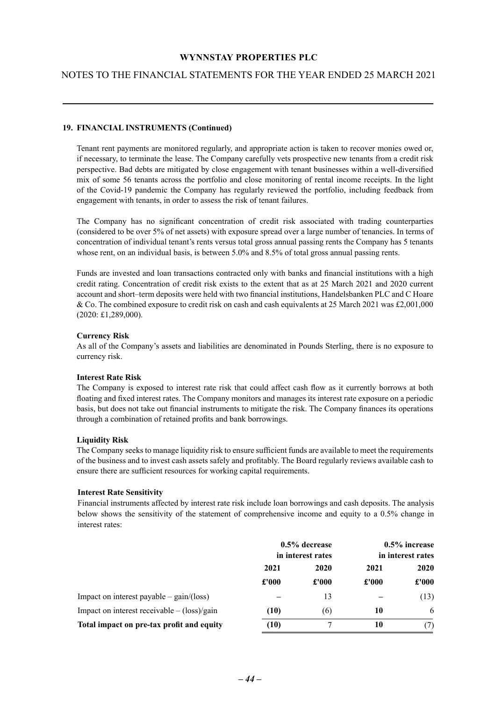## NOTES TO THE FINANCIAL STATEMENTS FOR THE YEAR ENDED 25 MARCH 2021

#### **19. FINANCIAL INSTRUMENTS (Continued)**

Tenant rent payments are monitored regularly, and appropriate action is taken to recover monies owed or, if necessary, to terminate the lease. The Company carefully vets prospective new tenants from a credit risk perspective. Bad debts are mitigated by close engagement with tenant businesses within a well-diversified mix of some 56 tenants across the portfolio and close monitoring of rental income receipts. In the light of the Covid-19 pandemic the Company has regularly reviewed the portfolio, including feedback from engagement with tenants, in order to assess the risk of tenant failures.

The Company has no significant concentration of credit risk associated with trading counterparties (considered to be over 5% of net assets) with exposure spread over a large number of tenancies. In terms of concentration of individual tenant's rents versus total gross annual passing rents the Company has 5 tenants whose rent, on an individual basis, is between 5.0% and 8.5% of total gross annual passing rents.

Funds are invested and loan transactions contracted only with banks and financial institutions with a high credit rating. Concentration of credit risk exists to the extent that as at 25 March 2021 and 2020 current account and short–term deposits were held with two financial institutions, Handelsbanken PLC and C Hoare & Co. The combined exposure to credit risk on cash and cash equivalents at 25 March 2021 was £2,001,000 (2020: £1,289,000).

#### **Currency Risk**

As all of the Company's assets and liabilities are denominated in Pounds Sterling, there is no exposure to currency risk.

#### **Interest Rate Risk**

The Company is exposed to interest rate risk that could affect cash flow as it currently borrows at both floating and fixed interest rates. The Company monitors and manages its interest rate exposure on a periodic basis, but does not take out financial instruments to mitigate the risk. The Company finances its operations through a combination of retained profits and bank borrowings.

#### **Liquidity Risk**

The Company seeks to manage liquidity risk to ensure sufficient funds are available to meet the requirements of the business and to invest cash assets safely and profitably. The Board regularly reviews available cash to ensure there are sufficient resources for working capital requirements.

#### **Interest Rate Sensitivity**

Financial instruments affected by interest rate risk include loan borrowings and cash deposits. The analysis below shows the sensitivity of the statement of comprehensive income and equity to a 0.5% change in interest rates:

|                                                            | $0.5\%$ decrease<br>in interest rates |       | $0.5\%$ increase<br>in interest rates |       |  |  |  |  |  |      |      |             |
|------------------------------------------------------------|---------------------------------------|-------|---------------------------------------|-------|--|--|--|--|--|------|------|-------------|
|                                                            | 2021                                  |       |                                       |       |  |  |  |  |  | 2020 | 2021 | <b>2020</b> |
|                                                            | £'000                                 | £'000 | £'000                                 | £'000 |  |  |  |  |  |      |      |             |
| Impact on interest payable $-\text{gain}/(\text{loss})$    |                                       | 13    |                                       | (13)  |  |  |  |  |  |      |      |             |
| Impact on interest receivable $-(\text{loss})/\text{gain}$ | (10)                                  | (6)   | 10                                    | 6     |  |  |  |  |  |      |      |             |
| Total impact on pre-tax profit and equity                  | (10)                                  |       | 10                                    |       |  |  |  |  |  |      |      |             |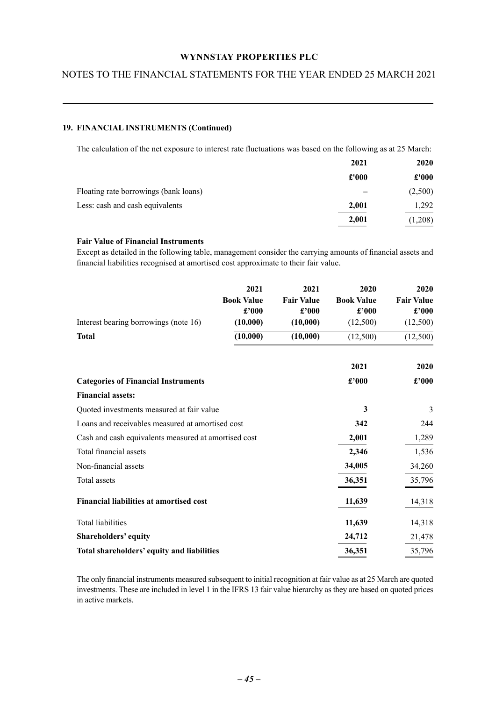## NOTES TO THE FINANCIAL STATEMENTS FOR THE YEAR ENDED 25 MARCH 2021

#### **19. FINANCIAL INSTRUMENTS (Continued)**

The calculation of the net exposure to interest rate fluctuations was based on the following as at 25 March:

|                                       | 2021  | 2020    |
|---------------------------------------|-------|---------|
|                                       | £'000 | £'000   |
| Floating rate borrowings (bank loans) |       | (2,500) |
| Less: cash and cash equivalents       | 2,001 | 1,292   |
|                                       | 2,001 | (1,208) |

#### **Fair Value of Financial Instruments**

Except as detailed in the following table, management consider the carrying amounts of financial assets and financial liabilities recognised at amortised cost approximate to their fair value.

| Interest bearing borrowings (note 16)                | 2021<br><b>Book Value</b><br>£'000<br>(10,000) | 2021<br><b>Fair Value</b><br>£'000<br>(10,000) | 2020<br><b>Book Value</b><br>£'000<br>(12,500) | 2020<br><b>Fair Value</b><br>£'000<br>(12,500) |
|------------------------------------------------------|------------------------------------------------|------------------------------------------------|------------------------------------------------|------------------------------------------------|
| <b>Total</b>                                         | (10,000)                                       | (10,000)                                       | (12,500)                                       | (12,500)                                       |
|                                                      |                                                |                                                | 2021                                           | 2020                                           |
| <b>Categories of Financial Instruments</b>           |                                                |                                                | £'000                                          | £'000                                          |
| <b>Financial assets:</b>                             |                                                |                                                |                                                |                                                |
| Quoted investments measured at fair value            |                                                |                                                | 3                                              | 3                                              |
| Loans and receivables measured at amortised cost     |                                                |                                                | 342                                            | 244                                            |
| Cash and cash equivalents measured at amortised cost |                                                |                                                | 2,001                                          | 1,289                                          |
| Total financial assets                               |                                                |                                                | 2,346                                          | 1,536                                          |
| Non-financial assets                                 |                                                |                                                | 34,005                                         | 34,260                                         |
| Total assets                                         |                                                |                                                | 36,351                                         | 35,796                                         |
| <b>Financial liabilities at amortised cost</b>       |                                                |                                                | 11,639                                         | 14,318                                         |
| Total liabilities                                    |                                                |                                                | 11,639                                         | 14,318                                         |
| Shareholders' equity                                 |                                                |                                                | 24,712                                         | 21,478                                         |
| Total shareholders' equity and liabilities           |                                                |                                                | 36,351                                         | 35,796                                         |

The only financial instruments measured subsequent to initial recognition at fair value as at 25 March are quoted investments. These are included in level 1 in the IFRS 13 fair value hierarchy as they are based on quoted prices in active markets.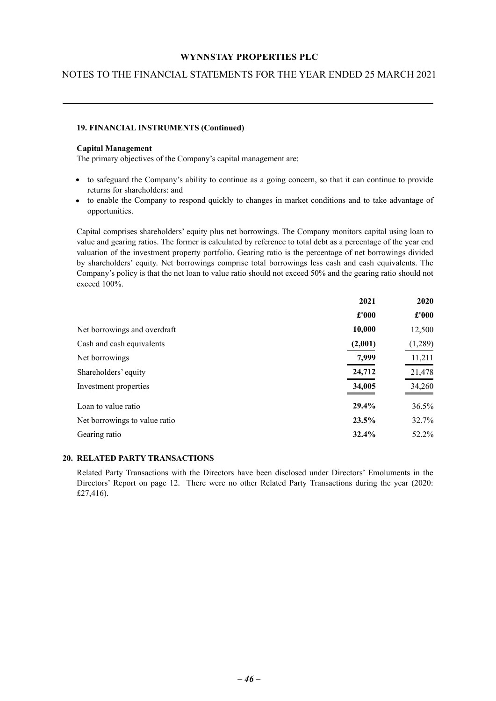## NOTES TO THE FINANCIAL STATEMENTS FOR THE YEAR ENDED 25 MARCH 2021

#### **19. FINANCIAL INSTRUMENTS (Continued)**

#### **Capital Management**

The primary objectives of the Company's capital management are:

- to safeguard the Company's ability to continue as a going concern, so that it can continue to provide returns for shareholders: and
- to enable the Company to respond quickly to changes in market conditions and to take advantage of opportunities.

Capital comprises shareholders' equity plus net borrowings. The Company monitors capital using loan to value and gearing ratios. The former is calculated by reference to total debt as a percentage of the year end valuation of the investment property portfolio. Gearing ratio is the percentage of net borrowings divided by shareholders' equity. Net borrowings comprise total borrowings less cash and cash equivalents. The Company's policy is that the net loan to value ratio should not exceed 50% and the gearing ratio should not exceed 100%.

|                               | 2021    | 2020          |
|-------------------------------|---------|---------------|
|                               | £'000   | $\pounds 000$ |
| Net borrowings and overdraft  | 10,000  | 12,500        |
| Cash and cash equivalents     | (2,001) | (1,289)       |
| Net borrowings                | 7,999   | 11,211        |
| Shareholders' equity          | 24,712  | 21,478        |
| Investment properties         | 34,005  | 34,260        |
| Loan to value ratio           | 29.4%   | 36.5%         |
| Net borrowings to value ratio | 23.5%   | 32.7%         |
| Gearing ratio                 | 32.4%   | 52.2%         |

#### **20. RELATED PARTY TRANSACTIONS**

Related Party Transactions with the Directors have been disclosed under Directors' Emoluments in the Directors' Report on page 12. There were no other Related Party Transactions during the year (2020: £27,416).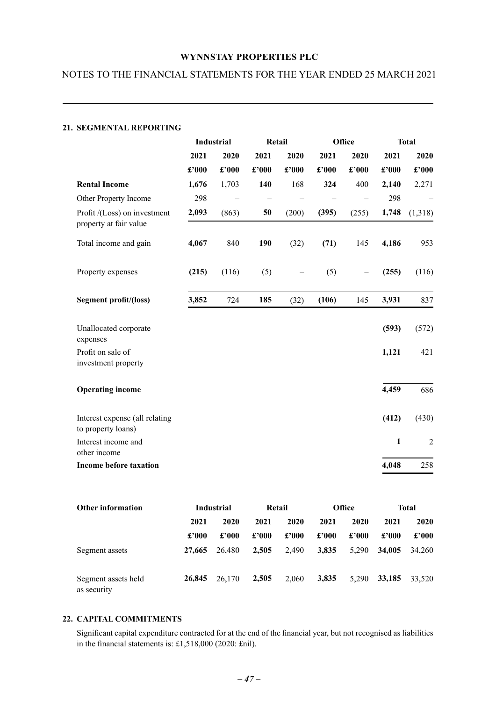## NOTES TO THE FINANCIAL STATEMENTS FOR THE YEAR ENDED 25 MARCH 2021

#### **21. SEGMENTAL REPORTING**

|                                                        |       | <b>Industrial</b> |       | Retail |       |       |              | Office         |  | <b>Total</b> |  |
|--------------------------------------------------------|-------|-------------------|-------|--------|-------|-------|--------------|----------------|--|--------------|--|
|                                                        | 2021  | 2020              | 2021  | 2020   | 2021  | 2020  | 2021         | 2020           |  |              |  |
|                                                        | £'000 | £'000             | £'000 | £'000  | £'000 | £'000 | £'000        | £'000          |  |              |  |
| <b>Rental Income</b>                                   | 1,676 | 1,703             | 140   | 168    | 324   | 400   | 2,140        | 2,271          |  |              |  |
| Other Property Income                                  | 298   |                   |       |        |       |       | 298          |                |  |              |  |
| Profit /(Loss) on investment<br>property at fair value | 2,093 | (863)             | 50    | (200)  | (395) | (255) | 1,748        | (1,318)        |  |              |  |
| Total income and gain                                  | 4,067 | 840               | 190   | (32)   | (71)  | 145   | 4,186        | 953            |  |              |  |
| Property expenses                                      | (215) | (116)             | (5)   |        | (5)   |       | (255)        | (116)          |  |              |  |
| Segment profit/(loss)                                  | 3,852 | 724               | 185   | (32)   | (106) | 145   | 3,931        | 837            |  |              |  |
| Unallocated corporate<br>expenses                      |       |                   |       |        |       |       | (593)        | (572)          |  |              |  |
| Profit on sale of<br>investment property               |       |                   |       |        |       |       | 1,121        | 421            |  |              |  |
| <b>Operating income</b>                                |       |                   |       |        |       |       | 4,459        | 686            |  |              |  |
| Interest expense (all relating<br>to property loans)   |       |                   |       |        |       |       | (412)        | (430)          |  |              |  |
| Interest income and<br>other income                    |       |                   |       |        |       |       | $\mathbf{1}$ | $\overline{2}$ |  |              |  |
| <b>Income before taxation</b>                          |       |                   |       |        |       |       | 4,048        | 258            |  |              |  |

| <b>Other information</b>           | Industrial |        | Retail |       | <b>Office</b> |       | <b>Total</b> |             |
|------------------------------------|------------|--------|--------|-------|---------------|-------|--------------|-------------|
|                                    | 2021       | 2020   | 2021   | 2020  | 2021          | 2020  | 2021         | <b>2020</b> |
|                                    | £2000      | £'000  | £'000  | £'000 | £'000         | £'000 | £2000        | £'000       |
| Segment assets                     | 27,665     | 26,480 | 2.505  | 2,490 | 3,835         | 5,290 | 34,005       | 34.260      |
| Segment assets held<br>as security | 26,845     | 26.170 | 2,505  | 2.060 | 3,835         | 5.290 | 33,185       | 33.520      |

## **22. CAPITAL COMMITMENTS**

Significant capital expenditure contracted for at the end of the financial year, but not recognised as liabilities in the financial statements is: £1,518,000 (2020: £nil).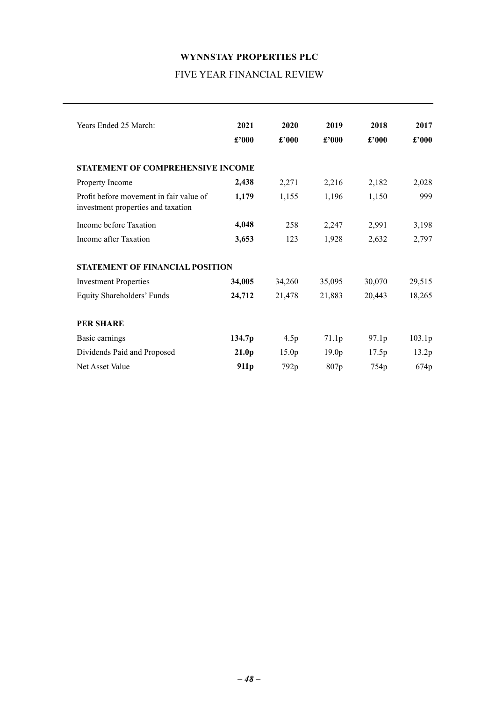## **WYNNSTAY PROPERTIES PLC** FIVE YEAR FINANCIAL REVIEW

<span id="page-48-0"></span>

| Years Ended 25 March:                                                         | 2021<br>£'000     | 2020<br>£'000     | 2019<br>£'000     | 2018<br>$\pounds$ '000 | 2017<br>£'000 |
|-------------------------------------------------------------------------------|-------------------|-------------------|-------------------|------------------------|---------------|
| <b>STATEMENT OF COMPREHENSIVE INCOME</b>                                      |                   |                   |                   |                        |               |
| Property Income                                                               | 2,438             | 2,271             | 2,216             | 2,182                  | 2,028         |
| Profit before movement in fair value of<br>investment properties and taxation | 1,179             | 1,155             | 1,196             | 1,150                  | 999           |
| Income before Taxation                                                        | 4,048             | 258               | 2,247             | 2,991                  | 3,198         |
| Income after Taxation                                                         | 3,653             | 123               | 1,928             | 2,632                  | 2,797         |
| <b>STATEMENT OF FINANCIAL POSITION</b>                                        |                   |                   |                   |                        |               |
| <b>Investment Properties</b>                                                  | 34,005            | 34,260            | 35,095            | 30,070                 | 29,515        |
| Equity Shareholders' Funds                                                    | 24,712            | 21,478            | 21,883            | 20,443                 | 18,265        |
| <b>PER SHARE</b>                                                              |                   |                   |                   |                        |               |
| Basic earnings                                                                | 134.7p            | 4.5p              | 71.1p             | 97.1p                  | 103.1p        |
| Dividends Paid and Proposed                                                   | 21.0 <sub>p</sub> | 15.0 <sub>p</sub> | 19.0 <sub>p</sub> | 17.5p                  | 13.2p         |
| Net Asset Value                                                               | 911 <sub>p</sub>  | 792p              | 807 <sub>p</sub>  | 754 <sub>p</sub>       | 674p          |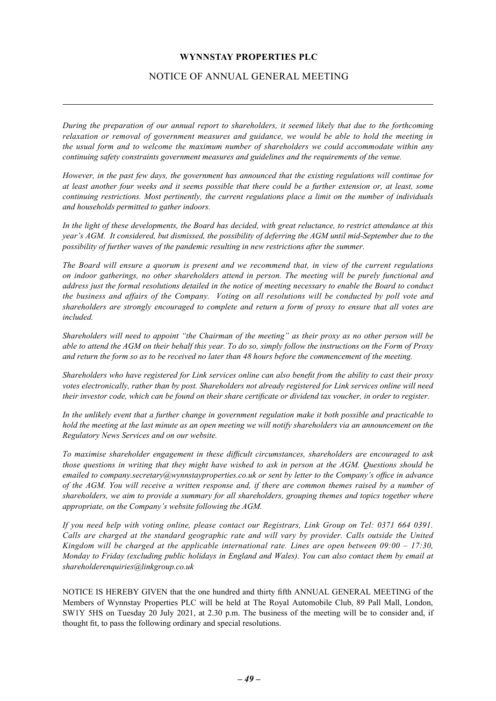## NOTICE OF ANNUAL GENERAL MEETING

<span id="page-49-0"></span>*During the preparation of our annual report to shareholders, it seemed likely that due to the forthcoming relaxation or removal of government measures and guidance, we would be able to hold the meeting in the usual form and to welcome the maximum number of shareholders we could accommodate within any continuing safety constraints government measures and guidelines and the requirements of the venue.*

*However, in the past few days, the government has announced that the existing regulations will continue for at least another four weeks and it seems possible that there could be a further extension or, at least, some continuing restrictions. Most pertinently, the current regulations place a limit on the number of individuals and households permitted to gather indoors.* 

*In the light of these developments, the Board has decided, with great reluctance, to restrict attendance at this year's AGM. It considered, but dismissed, the possibility of deferring the AGM until mid-September due to the possibility of further waves of the pandemic resulting in new restrictions after the summer.* 

*The Board will ensure a quorum is present and we recommend that, in view of the current regulations on indoor gatherings, no other shareholders attend in person. The meeting will be purely functional and address just the formal resolutions detailed in the notice of meeting necessary to enable the Board to conduct the business and affairs of the Company. Voting on all resolutions will be conducted by poll vote and shareholders are strongly encouraged to complete and return a form of proxy to ensure that all votes are included.* 

*Shareholders will need to appoint "the Chairman of the meeting" as their proxy as no other person will be able to attend the AGM on their behalf this year. To do so, simply follow the instructions on the Form of Proxy and return the form so as to be received no later than 48 hours before the commencement of the meeting.* 

*Shareholders who have registered for Link services online can also benefit from the ability to cast their proxy votes electronically, rather than by post. Shareholders not already registered for Link services online will need their investor code, which can be found on their share certificate or dividend tax voucher, in order to register.*

*In the unlikely event that a further change in government regulation make it both possible and practicable to hold the meeting at the last minute as an open meeting we will notify shareholders via an announcement on the Regulatory News Services and on our website.*

*To maximise shareholder engagement in these difficult circumstances, shareholders are encouraged to ask those questions in writing that they might have wished to ask in person at the AGM. Questions should be emailed to company.secretary@wynnstayproperties.co.uk or sent by letter to the Company's office in advance of the AGM. You will receive a written response and, if there are common themes raised by a number of shareholders, we aim to provide a summary for all shareholders, grouping themes and topics together where appropriate, on the Company's website following the AGM.* 

*If you need help with voting online, please contact our Registrars, Link Group on Tel: 0371 664 0391. Calls are charged at the standard geographic rate and will vary by provider. Calls outside the United Kingdom will be charged at the applicable international rate. Lines are open between 09:00 – 17:30, Monday to Friday (excluding public holidays in England and Wales). You can also contact them by email at shareholderenquiries@linkgroup.co.uk*

NOTICE IS HEREBY GIVEN that the one hundred and thirty fifth ANNUAL GENERAL MEETING of the Members of Wynnstay Properties PLC will be held at The Royal Automobile Club, 89 Pall Mall, London, SW1Y 5HS on Tuesday 20 July 2021, at 2.30 p.m. The business of the meeting will be to consider and, if thought fit, to pass the following ordinary and special resolutions.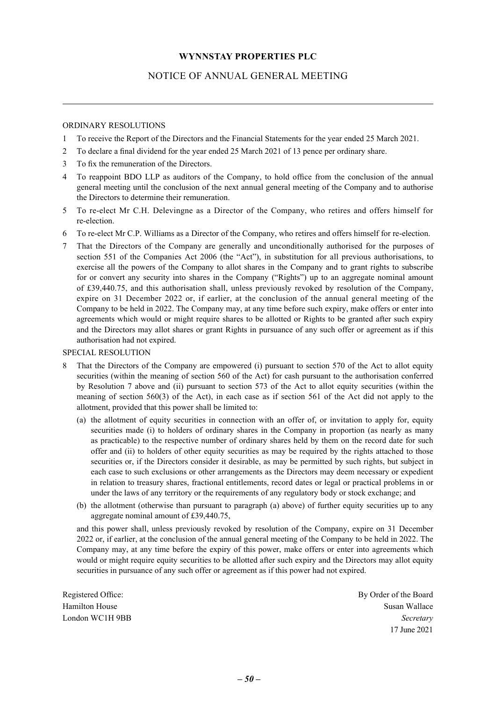## NOTICE OF ANNUAL GENERAL MEETING

#### ORDINARY RESOLUTIONS

- 1 To receive the Report of the Directors and the Financial Statements for the year ended 25 March 2021.
- 2 To declare a final dividend for the year ended 25 March 2021 of 13 pence per ordinary share.
- 3 To fix the remuneration of the Directors.
- 4 To reappoint BDO LLP as auditors of the Company, to hold office from the conclusion of the annual general meeting until the conclusion of the next annual general meeting of the Company and to authorise the Directors to determine their remuneration.
- 5 To re-elect Mr C.H. Delevingne as a Director of the Company, who retires and offers himself for re-election.
- 6 To re-elect Mr C.P. Williams as a Director of the Company, who retires and offers himself for re-election.
- 7 That the Directors of the Company are generally and unconditionally authorised for the purposes of section 551 of the Companies Act 2006 (the "Act"), in substitution for all previous authorisations, to exercise all the powers of the Company to allot shares in the Company and to grant rights to subscribe for or convert any security into shares in the Company ("Rights") up to an aggregate nominal amount of £39,440.75, and this authorisation shall, unless previously revoked by resolution of the Company, expire on 31 December 2022 or, if earlier, at the conclusion of the annual general meeting of the Company to be held in 2022. The Company may, at any time before such expiry, make offers or enter into agreements which would or might require shares to be allotted or Rights to be granted after such expiry and the Directors may allot shares or grant Rights in pursuance of any such offer or agreement as if this authorisation had not expired.

#### SPECIAL RESOLUTION

- 8 That the Directors of the Company are empowered (i) pursuant to section 570 of the Act to allot equity securities (within the meaning of section 560 of the Act) for cash pursuant to the authorisation conferred by Resolution 7 above and (ii) pursuant to section 573 of the Act to allot equity securities (within the meaning of section 560(3) of the Act), in each case as if section 561 of the Act did not apply to the allotment, provided that this power shall be limited to:
	- (a) the allotment of equity securities in connection with an offer of, or invitation to apply for, equity securities made (i) to holders of ordinary shares in the Company in proportion (as nearly as many as practicable) to the respective number of ordinary shares held by them on the record date for such offer and (ii) to holders of other equity securities as may be required by the rights attached to those securities or, if the Directors consider it desirable, as may be permitted by such rights, but subject in each case to such exclusions or other arrangements as the Directors may deem necessary or expedient in relation to treasury shares, fractional entitlements, record dates or legal or practical problems in or under the laws of any territory or the requirements of any regulatory body or stock exchange; and
	- (b) the allotment (otherwise than pursuant to paragraph (a) above) of further equity securities up to any aggregate nominal amount of £39,440.75,

and this power shall, unless previously revoked by resolution of the Company, expire on 31 December 2022 or, if earlier, at the conclusion of the annual general meeting of the Company to be held in 2022. The Company may, at any time before the expiry of this power, make offers or enter into agreements which would or might require equity securities to be allotted after such expiry and the Directors may allot equity securities in pursuance of any such offer or agreement as if this power had not expired.

Registered Office: By Order of the Board Hamilton House Susan Wallace Susan Wallace Susan Wallace Susan Wallace Susan Wallace London WC1H 9BB *Secretary* 17 June 2021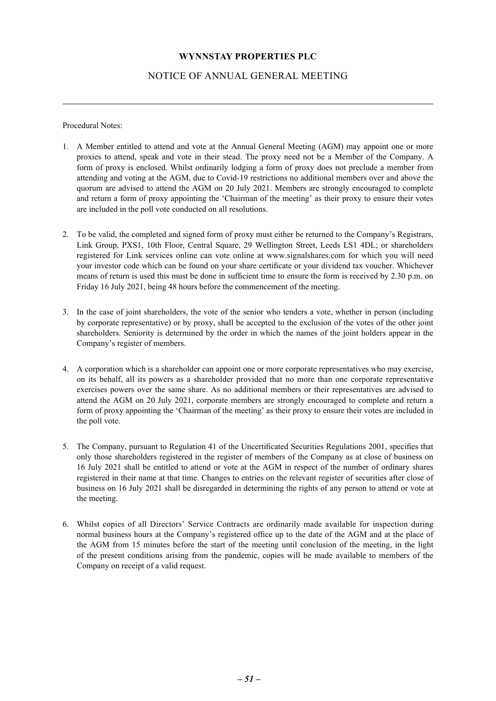## NOTICE OF ANNUAL GENERAL MEETING

Procedural Notes:

- 1. A Member entitled to attend and vote at the Annual General Meeting (AGM) may appoint one or more proxies to attend, speak and vote in their stead. The proxy need not be a Member of the Company. A form of proxy is enclosed. Whilst ordinarily lodging a form of proxy does not preclude a member from attending and voting at the AGM, due to Covid-19 restrictions no additional members over and above the quorum are advised to attend the AGM on 20 July 2021. Members are strongly encouraged to complete and return a form of proxy appointing the 'Chairman of the meeting' as their proxy to ensure their votes are included in the poll vote conducted on all resolutions.
- 2. To be valid, the completed and signed form of proxy must either be returned to the Company's Registrars, Link Group, PXS1, 10th Floor, Central Square, 29 Wellington Street, Leeds LS1 4DL; or shareholders registered for Link services online can vote online at www.signalshares.com for which you will need your investor code which can be found on your share certificate or your dividend tax voucher. Whichever means of return is used this must be done in sufficient time to ensure the form is received by 2.30 p.m. on Friday 16 July 2021, being 48 hours before the commencement of the meeting.
- 3. In the case of joint shareholders, the vote of the senior who tenders a vote, whether in person (including by corporate representative) or by proxy, shall be accepted to the exclusion of the votes of the other joint shareholders. Seniority is determined by the order in which the names of the joint holders appear in the Company's register of members.
- 4. A corporation which is a shareholder can appoint one or more corporate representatives who may exercise, on its behalf, all its powers as a shareholder provided that no more than one corporate representative exercises powers over the same share. As no additional members or their representatives are advised to attend the AGM on 20 July 2021, corporate members are strongly encouraged to complete and return a form of proxy appointing the 'Chairman of the meeting' as their proxy to ensure their votes are included in the poll vote.
- 5. The Company, pursuant to Regulation 41 of the Uncertificated Securities Regulations 2001, specifies that only those shareholders registered in the register of members of the Company as at close of business on 16 July 2021 shall be entitled to attend or vote at the AGM in respect of the number of ordinary shares registered in their name at that time. Changes to entries on the relevant register of securities after close of business on 16 July 2021 shall be disregarded in determining the rights of any person to attend or vote at the meeting.
- 6. Whilst copies of all Directors' Service Contracts are ordinarily made available for inspection during normal business hours at the Company's registered office up to the date of the AGM and at the place of the AGM from 15 minutes before the start of the meeting until conclusion of the meeting, in the light of the present conditions arising from the pandemic, copies will be made available to members of the Company on receipt of a valid request.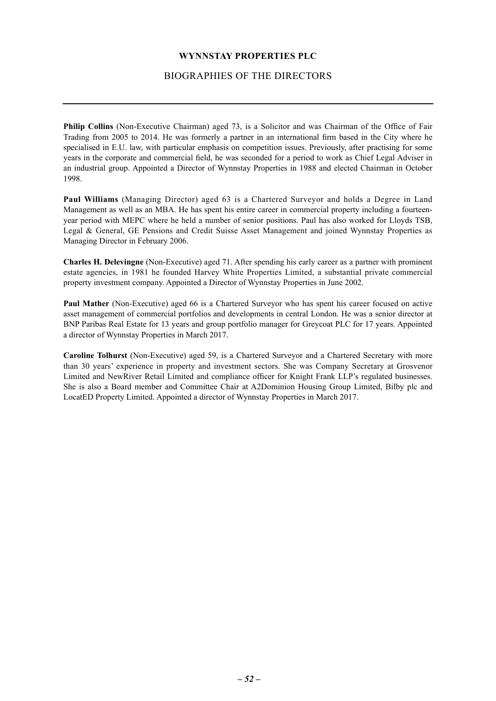## BIOGRAPHIES OF THE DIRECTORS

<span id="page-52-0"></span>**Philip Collins** (Non-Executive Chairman) aged 73, is a Solicitor and was Chairman of the Office of Fair Trading from 2005 to 2014. He was formerly a partner in an international firm based in the City where he specialised in E.U. law, with particular emphasis on competition issues. Previously, after practising for some years in the corporate and commercial field, he was seconded for a period to work as Chief Legal Adviser in an industrial group. Appointed a Director of Wynnstay Properties in 1988 and elected Chairman in October 1998.

**Paul Williams** (Managing Director) aged 63 is a Chartered Surveyor and holds a Degree in Land Management as well as an MBA. He has spent his entire career in commercial property including a fourteenyear period with MEPC where he held a number of senior positions. Paul has also worked for Lloyds TSB, Legal & General, GE Pensions and Credit Suisse Asset Management and joined Wynnstay Properties as Managing Director in February 2006.

**Charles H. Delevingne** (Non-Executive) aged 71. After spending his early career as a partner with prominent estate agencies, in 1981 he founded Harvey White Properties Limited, a substantial private commercial property investment company. Appointed a Director of Wynnstay Properties in June 2002.

**Paul Mather** (Non-Executive) aged 66 is a Chartered Surveyor who has spent his career focused on active asset management of commercial portfolios and developments in central London. He was a senior director at BNP Paribas Real Estate for 13 years and group portfolio manager for Greycoat PLC for 17 years. Appointed a director of Wynnstay Properties in March 2017.

**Caroline Tolhurst** (Non-Executive) aged 59, is a Chartered Surveyor and a Chartered Secretary with more than 30 years' experience in property and investment sectors. She was Company Secretary at Grosvenor Limited and NewRiver Retail Limited and compliance officer for Knight Frank LLP's regulated businesses. She is also a Board member and Committee Chair at A2Dominion Housing Group Limited, Bilby plc and LocatED Property Limited. Appointed a director of Wynnstay Properties in March 2017.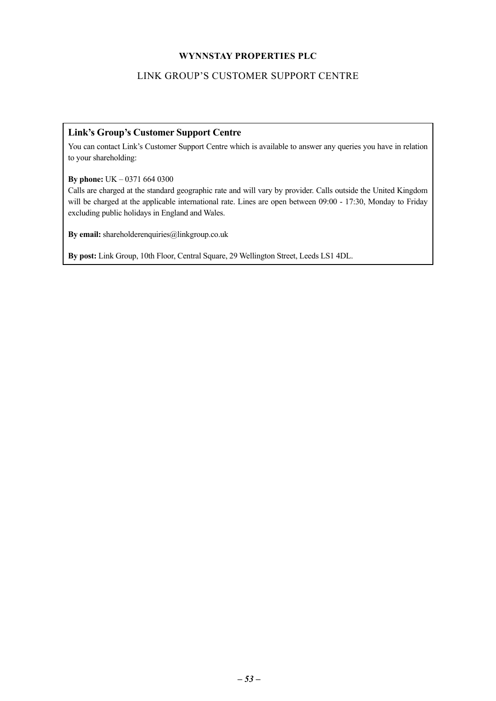## LINK GROUP'S CUSTOMER SUPPORT CENTRE

## <span id="page-53-0"></span>**Link's Group's Customer Support Centre**

You can contact Link's Customer Support Centre which is available to answer any queries you have in relation to your shareholding:

**By phone:** UK – 0371 664 0300

Calls are charged at the standard geographic rate and will vary by provider. Calls outside the United Kingdom will be charged at the applicable international rate. Lines are open between 09:00 - 17:30, Monday to Friday excluding public holidays in England and Wales.

**By email:** shareholderenquiries@linkgroup.co.uk

**By post:** Link Group, 10th Floor, Central Square, 29 Wellington Street, Leeds LS1 4DL.